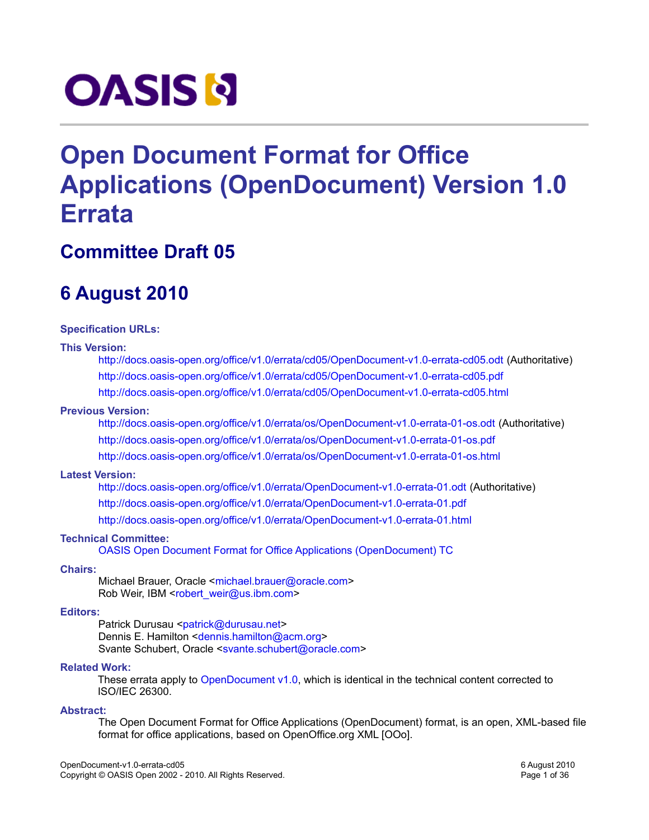# **OASIS N**

# **Open Document Format for Office Applications (OpenDocument) Version 1.0 Errata**

# **Committee Draft 05**

# **6 August 2010**

#### **Specification URLs:**

#### **This Version:**

[http://docs.oasis-open.org/office/v1.0/errata/cd05/OpenDocument-v1.0-errata-cd05.odt](http://docs.oasis-open.org/office/v1.0/errata/cd05/OpenDocument-v1.0-errata-cd05.pdf) (Authoritative) <http://docs.oasis-open.org/office/v1.0/errata/cd05/OpenDocument-v1.0-errata-cd05.pdf> <http://docs.oasis-open.org/office/v1.0/errata/cd05/OpenDocument-v1.0-errata-cd05.html>

#### **Previous Version:**

[http://docs.oasis-open.org/office/v1.0/errata/os/OpenDocument-v1.0-errata-01-os.odt](http://docs.oasis-open.org/office/v1.0/errata/os/OpenDocument-v1.0-errata-01-os.pdf) (Authoritative) <http://docs.oasis-open.org/office/v1.0/errata/os/OpenDocument-v1.0-errata-01-os.pdf> <http://docs.oasis-open.org/office/v1.0/errata/os/OpenDocument-v1.0-errata-01-os.html>

#### **Latest Version:**

[http://docs.oasis-open.org/office/v1.0/errata/OpenDocument-v1.0-errata-01.odt](http://docs.oasis-open.org/office/v1.0/errata/OpenDocument-v1.0-errata-01.pdf) (Authoritative) <http://docs.oasis-open.org/office/v1.0/errata/OpenDocument-v1.0-errata-01.pdf> <http://docs.oasis-open.org/office/v1.0/errata/OpenDocument-v1.0-errata-01.html>

#### **Technical Committee:**

[OASIS Open Document Format for Office Applications \(OpenDocument\) TC](http://www.oasis-open.org/committees/office/)

#### **Chairs:**

Michael Brauer, Oracle [<michael.brauer@](mailto:michael.brauer%20@sun.com)[oracle.com>](mailto:michael.brauer@sun.com) Rob Weir, IBM [<robert\\_weir@us.ibm.com>](mailto:robert_weir%20@us.ibm.com)

#### **Editors:**

Patrick Durusau [<patrick@durusau.net>](mailto:patrick@durusau.net) Dennis E. Hamilton [<dennis.hamilton@acm.org>](mailto:dennis.hamilton@acm.org) Svante Schubert, Oracle [<svante.schubert@oracle.com>](mailto:Svante.Schubert%20@sun.com)

#### **Related Work:**

These errata apply to [OpenDocument v1.0,](http://docs.oasis-open.org/office/v1.0/OpenDocument-v1.0-os.pdf) which is identical in the technical content corrected to ISO/IEC 26300.

#### **Abstract:**

The Open Document Format for Office Applications (OpenDocument) format, is an open, XML-based file format for office applications, based on OpenOffice.org XML [OOo].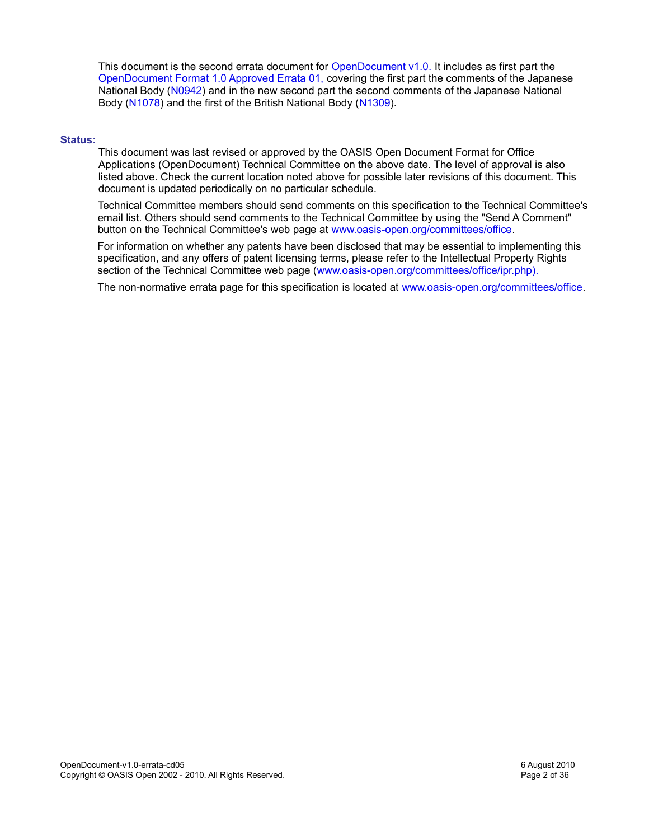This document is the second errata document for [OpenDocument v1.0.](http://docs.oasis-open.org/office/v1.0/OpenDocument-v1.0-os.pdf) It includes as first part the [OpenDocument Format 1.0 Approved Errata 01, c](http://docs.oasis-open.org/office/v1.0/errata/os/OpenDocument-v1.0-errata-01-os.pdf)overing the first part the comments of the Japanese National Body [\(N0942\)](http://www.itscj.ipsj.or.jp/sc34/open/0942.htm) and in the new second part the second comments of the Japanese National Body [\(N1078\)](http://www.itscj.ipsj.or.jp/sc34/open/1078.htm) and the first of the British National Body [\(N1309\)](http://www.itscj.ipsj.or.jp/sc34/open/1309.htm).

#### **Status:**

This document was last revised or approved by the OASIS Open Document Format for Office Applications (OpenDocument) Technical Committee on the above date. The level of approval is also listed above. Check the current location noted above for possible later revisions of this document. This document is updated periodically on no particular schedule.

Technical Committee members should send comments on this specification to the Technical Committee's email list. Others should send comments to the Technical Committee by using the "Send A Comment" button on the Technical Committee's web page at [www.oasis-open.org/committees/office.](http://www.oasis-open.org/committees/office)

For information on whether any patents have been disclosed that may be essential to implementing this specification, and any offers of patent licensing terms, please refer to the Intellectual Property Rights section of the Technical Committee web page [\(www.oasis-open.org/committees/office/ipr.php\).](http://www.oasis-open.org/committees/office/ipr.php)

The non-normative errata page for this specification is located at [www.oasis-open.org/committees/office.](http://www.oasis-open.org/committees/office)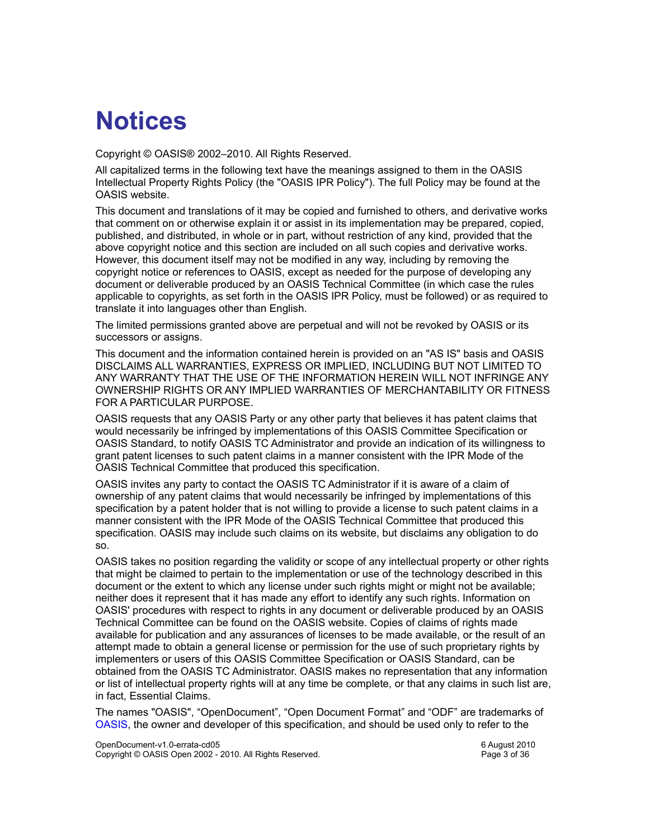# **Notices**

Copyright © OASIS® 2002–2010. All Rights Reserved.

All capitalized terms in the following text have the meanings assigned to them in the OASIS Intellectual Property Rights Policy (the "OASIS IPR Policy"). The full Policy may be found at the OASIS website.

This document and translations of it may be copied and furnished to others, and derivative works that comment on or otherwise explain it or assist in its implementation may be prepared, copied, published, and distributed, in whole or in part, without restriction of any kind, provided that the above copyright notice and this section are included on all such copies and derivative works. However, this document itself may not be modified in any way, including by removing the copyright notice or references to OASIS, except as needed for the purpose of developing any document or deliverable produced by an OASIS Technical Committee (in which case the rules applicable to copyrights, as set forth in the OASIS IPR Policy, must be followed) or as required to translate it into languages other than English.

The limited permissions granted above are perpetual and will not be revoked by OASIS or its successors or assigns.

This document and the information contained herein is provided on an "AS IS" basis and OASIS DISCLAIMS ALL WARRANTIES, EXPRESS OR IMPLIED, INCLUDING BUT NOT LIMITED TO ANY WARRANTY THAT THE USE OF THE INFORMATION HEREIN WILL NOT INFRINGE ANY OWNERSHIP RIGHTS OR ANY IMPLIED WARRANTIES OF MERCHANTABILITY OR FITNESS FOR A PARTICULAR PURPOSE.

OASIS requests that any OASIS Party or any other party that believes it has patent claims that would necessarily be infringed by implementations of this OASIS Committee Specification or OASIS Standard, to notify OASIS TC Administrator and provide an indication of its willingness to grant patent licenses to such patent claims in a manner consistent with the IPR Mode of the OASIS Technical Committee that produced this specification.

OASIS invites any party to contact the OASIS TC Administrator if it is aware of a claim of ownership of any patent claims that would necessarily be infringed by implementations of this specification by a patent holder that is not willing to provide a license to such patent claims in a manner consistent with the IPR Mode of the OASIS Technical Committee that produced this specification. OASIS may include such claims on its website, but disclaims any obligation to do so.

OASIS takes no position regarding the validity or scope of any intellectual property or other rights that might be claimed to pertain to the implementation or use of the technology described in this document or the extent to which any license under such rights might or might not be available; neither does it represent that it has made any effort to identify any such rights. Information on OASIS' procedures with respect to rights in any document or deliverable produced by an OASIS Technical Committee can be found on the OASIS website. Copies of claims of rights made available for publication and any assurances of licenses to be made available, or the result of an attempt made to obtain a general license or permission for the use of such proprietary rights by implementers or users of this OASIS Committee Specification or OASIS Standard, can be obtained from the OASIS TC Administrator. OASIS makes no representation that any information or list of intellectual property rights will at any time be complete, or that any claims in such list are, in fact, Essential Claims.

The names "OASIS", "OpenDocument", "Open Document Format" and "ODF" are trademarks of [OASIS,](http://www.oasis-open.org/) the owner and developer of this specification, and should be used only to refer to the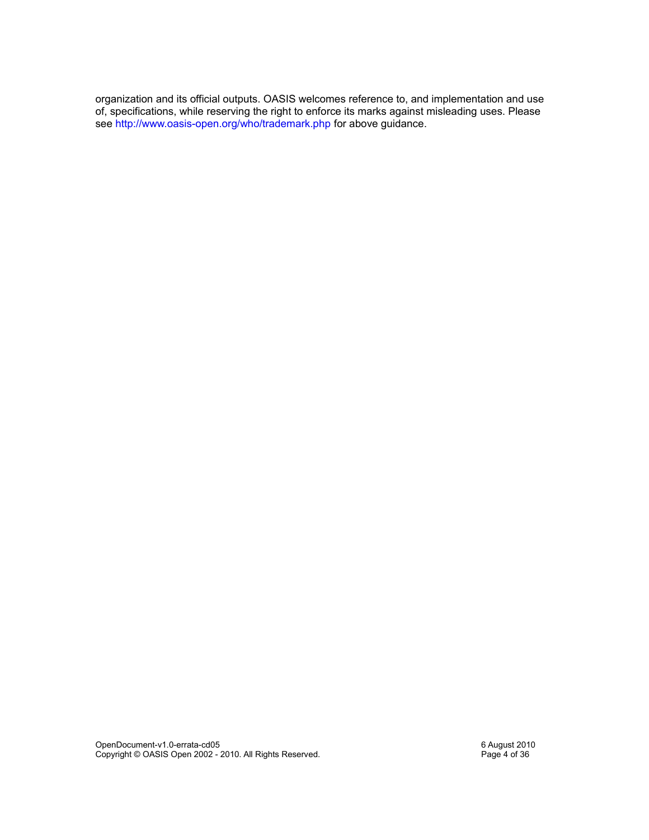organization and its official outputs. OASIS welcomes reference to, and implementation and use of, specifications, while reserving the right to enforce its marks against misleading uses. Please see<http://www.oasis-open.org/who/trademark.php> for above guidance.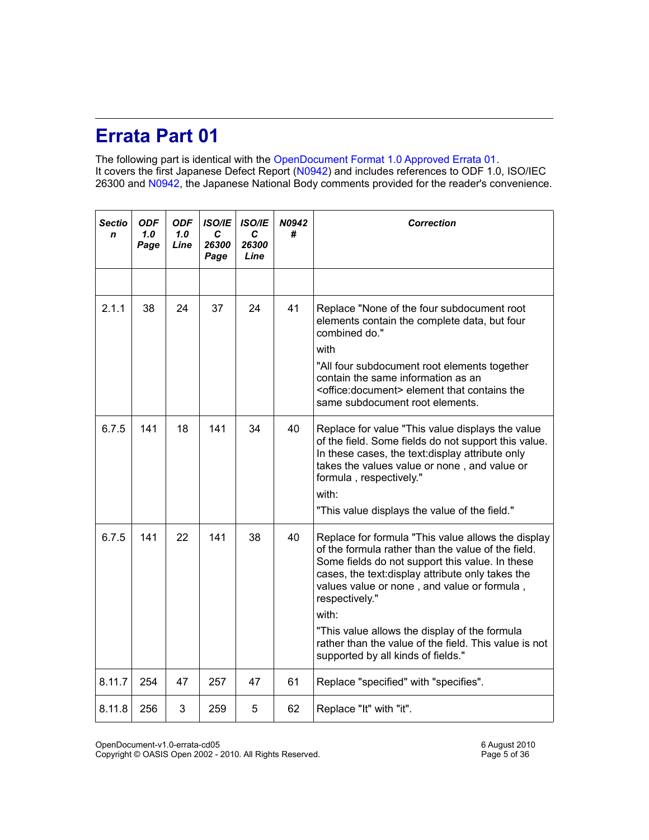## **Errata Part 01**

The following part is identical with the [OpenDocument Format 1.0 Approved Errata 01.](http://docs.oasis-open.org/office/v1.0/errata/os/OpenDocument-v1.0-errata-01-os.pdf) It covers the first Japanese Defect Report [\(N0942\)](http://www.itscj.ipsj.or.jp/sc34/open/0942.htm) and includes references to ODF 1.0, ISO/IEC 26300 and [N0942,](http://www.itscj.ipsj.or.jp/sc34/open/0942.htm) the Japanese National Body comments provided for the reader's convenience.

| <b>Sectio</b><br>n | <b>ODF</b><br>1.0<br>Page | <b>ODF</b><br>1.0<br>Line | <b>ISO/IE</b><br>C<br>26300<br>Page | ISO/IE<br>C<br>26300<br>Line | N0942<br># | <b>Correction</b>                                                                                                                                                                                                                                                                                                                                                                                                                          |
|--------------------|---------------------------|---------------------------|-------------------------------------|------------------------------|------------|--------------------------------------------------------------------------------------------------------------------------------------------------------------------------------------------------------------------------------------------------------------------------------------------------------------------------------------------------------------------------------------------------------------------------------------------|
|                    |                           |                           |                                     |                              |            |                                                                                                                                                                                                                                                                                                                                                                                                                                            |
| 2.1.1              | 38                        | 24                        | 37                                  | 24                           | 41         | Replace "None of the four subdocument root<br>elements contain the complete data, but four<br>combined do."<br>with<br>"All four subdocument root elements together<br>contain the same information as an<br><office:document> element that contains the<br/>same subdocument root elements.</office:document>                                                                                                                             |
| 6.7.5              | 141                       | 18                        | 141                                 | 34                           | 40         | Replace for value "This value displays the value<br>of the field. Some fields do not support this value.<br>In these cases, the text: display attribute only<br>takes the values value or none, and value or<br>formula, respectively."<br>with:<br>"This value displays the value of the field."                                                                                                                                          |
| 6.7.5              | 141                       | 22                        | 141                                 | 38                           | 40         | Replace for formula "This value allows the display<br>of the formula rather than the value of the field.<br>Some fields do not support this value. In these<br>cases, the text: display attribute only takes the<br>values value or none, and value or formula,<br>respectively."<br>with:<br>"This value allows the display of the formula<br>rather than the value of the field. This value is not<br>supported by all kinds of fields." |
| 8.11.7             | 254                       | 47                        | 257                                 | 47                           | 61         | Replace "specified" with "specifies".                                                                                                                                                                                                                                                                                                                                                                                                      |
| 8.11.8             | 256                       | 3                         | 259                                 | 5                            | 62         | Replace "It" with "it".                                                                                                                                                                                                                                                                                                                                                                                                                    |

OpenDocument-v1.0-errata-cd05 6 August 2010

Copyright © OASIS Open 2002 - 2010. All Rights Reserved. Page 5 of 36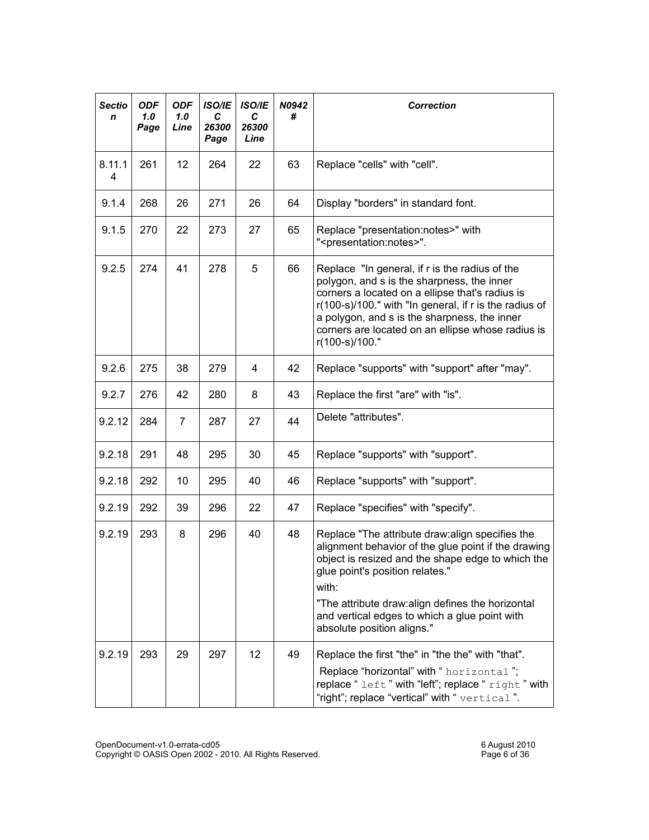| <b>Sectio</b><br>n | <b>ODF</b><br>1.0<br>Page | <b>ODF</b><br>1.0<br>Line | <b>ISO/IE</b><br>C<br>26300<br>Page | <b>ISO/IE</b><br>С<br>26300<br>Line | N0942<br>#                                                                                                                                                                                                                                                                                                                             | <b>Correction</b>                                                                                                                                                                                                                                                                                                                            |
|--------------------|---------------------------|---------------------------|-------------------------------------|-------------------------------------|----------------------------------------------------------------------------------------------------------------------------------------------------------------------------------------------------------------------------------------------------------------------------------------------------------------------------------------|----------------------------------------------------------------------------------------------------------------------------------------------------------------------------------------------------------------------------------------------------------------------------------------------------------------------------------------------|
| 8.11.1<br>4        | 261                       | 12                        | 264                                 | 22                                  | 63                                                                                                                                                                                                                                                                                                                                     | Replace "cells" with "cell".                                                                                                                                                                                                                                                                                                                 |
| 9.1.4              | 268                       | 26                        | 271                                 | 26                                  | 64                                                                                                                                                                                                                                                                                                                                     | Display "borders" in standard font.                                                                                                                                                                                                                                                                                                          |
| 9.1.5              | 270                       | 22                        | 273                                 | 27                                  | Replace "presentation:notes>" with<br>65<br>" <presentation:notes>".</presentation:notes>                                                                                                                                                                                                                                              |                                                                                                                                                                                                                                                                                                                                              |
| 9.2.5              | 274                       | 41                        | 278                                 | 5                                   | 66<br>Replace "In general, if r is the radius of the<br>polygon, and s is the sharpness, the inner<br>corners a located on a ellipse that's radius is<br>r(100-s)/100." with "In general, if r is the radius of<br>a polygon, and s is the sharpness, the inner<br>corners are located on an ellipse whose radius is<br>r(100-s)/100." |                                                                                                                                                                                                                                                                                                                                              |
| 9.2.6              | 275                       | 38                        | 279                                 | 4                                   | 42                                                                                                                                                                                                                                                                                                                                     | Replace "supports" with "support" after "may".                                                                                                                                                                                                                                                                                               |
| 9.2.7              | 276                       | 42                        | 280                                 | 8                                   | 43                                                                                                                                                                                                                                                                                                                                     | Replace the first "are" with "is".                                                                                                                                                                                                                                                                                                           |
| 9.2.12             | 284                       | 7                         | 287                                 | 27                                  | 44                                                                                                                                                                                                                                                                                                                                     | Delete "attributes".                                                                                                                                                                                                                                                                                                                         |
| 9.2.18             | 291                       | 48                        | 295                                 | 30                                  | 45                                                                                                                                                                                                                                                                                                                                     | Replace "supports" with "support".                                                                                                                                                                                                                                                                                                           |
| 9.2.18             | 292                       | 10                        | 295                                 | 40                                  | 46                                                                                                                                                                                                                                                                                                                                     | Replace "supports" with "support".                                                                                                                                                                                                                                                                                                           |
| 9.2.19             | 292                       | 39                        | 296                                 | 22                                  | 47                                                                                                                                                                                                                                                                                                                                     | Replace "specifies" with "specify".                                                                                                                                                                                                                                                                                                          |
| 9.2.19             | 293                       | 8                         | 296                                 | 40                                  | 48                                                                                                                                                                                                                                                                                                                                     | Replace "The attribute draw: align specifies the<br>alignment behavior of the glue point if the drawing<br>object is resized and the shape edge to which the<br>glue point's position relates."<br>with:<br>"The attribute draw: align defines the horizontal<br>and vertical edges to which a glue point with<br>absolute position aligns." |
| 9.2.19             | 293                       | 29                        | 297                                 | 12                                  | 49                                                                                                                                                                                                                                                                                                                                     | Replace the first "the" in "the the" with "that".<br>Replace "horizontal" with " horizontal";<br>replace "left" with "left"; replace "right" with<br>"right"; replace "vertical" with " vertical".                                                                                                                                           |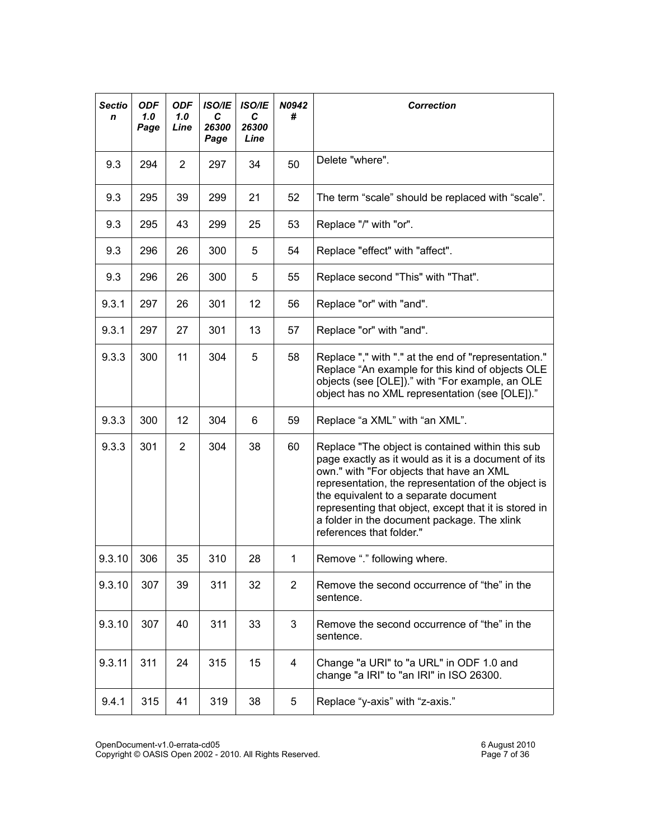| <b>Sectio</b><br>n | <b>ODF</b><br>1.0<br>Page | <b>ODF</b><br>1.0<br>Line | <b>ISO/IE</b><br>C<br>26300<br>Page | <b>ISO/IE</b><br>C<br>26300<br>Line | N0942<br># | <b>Correction</b>                                                                                                                                                                                                                                                                                                                                                                       |
|--------------------|---------------------------|---------------------------|-------------------------------------|-------------------------------------|------------|-----------------------------------------------------------------------------------------------------------------------------------------------------------------------------------------------------------------------------------------------------------------------------------------------------------------------------------------------------------------------------------------|
| 9.3                | 294                       | 2                         | 297                                 | 34                                  | 50         | Delete "where".                                                                                                                                                                                                                                                                                                                                                                         |
| 9.3                | 295                       | 39                        | 299                                 | 21                                  | 52         | The term "scale" should be replaced with "scale".                                                                                                                                                                                                                                                                                                                                       |
| 9.3                | 295                       | 43                        | 299                                 | 25                                  | 53         | Replace "/" with "or".                                                                                                                                                                                                                                                                                                                                                                  |
| 9.3                | 296                       | 26                        | 300                                 | 5                                   | 54         | Replace "effect" with "affect".                                                                                                                                                                                                                                                                                                                                                         |
| 9.3                | 296                       | 26                        | 300                                 | 5                                   | 55         | Replace second "This" with "That".                                                                                                                                                                                                                                                                                                                                                      |
| 9.3.1              | 297                       | 26                        | 301                                 | 12                                  | 56         | Replace "or" with "and".                                                                                                                                                                                                                                                                                                                                                                |
| 9.3.1              | 297                       | 27                        | 301                                 | 13                                  | 57         | Replace "or" with "and".                                                                                                                                                                                                                                                                                                                                                                |
| 9.3.3              | 300                       | 11                        | 304                                 | 5                                   | 58         | Replace "," with "." at the end of "representation."<br>Replace "An example for this kind of objects OLE<br>objects (see [OLE])." with "For example, an OLE<br>object has no XML representation (see [OLE])."                                                                                                                                                                           |
| 9.3.3              | 300                       | 12                        | 304                                 | 6                                   | 59         | Replace "a XML" with "an XML".                                                                                                                                                                                                                                                                                                                                                          |
| 9.3.3              | 301                       | $\overline{2}$            | 304                                 | 38                                  | 60         | Replace "The object is contained within this sub<br>page exactly as it would as it is a document of its<br>own." with "For objects that have an XML<br>representation, the representation of the object is<br>the equivalent to a separate document<br>representing that object, except that it is stored in<br>a folder in the document package. The xlink<br>references that folder." |
| 9.3.10             | 306                       | 35                        | 310                                 | 28                                  | 1          | Remove "." following where.                                                                                                                                                                                                                                                                                                                                                             |
| 9.3.10             | 307                       | 39                        | 311                                 | 32                                  | 2          | Remove the second occurrence of "the" in the<br>sentence.                                                                                                                                                                                                                                                                                                                               |
| 9.3.10             | 307                       | 40                        | 311                                 | 33                                  | 3          | Remove the second occurrence of "the" in the<br>sentence.                                                                                                                                                                                                                                                                                                                               |
| 9.3.11             | 311                       | 24                        | 315                                 | 15                                  | 4          | Change "a URI" to "a URL" in ODF 1.0 and<br>change "a IRI" to "an IRI" in ISO 26300.                                                                                                                                                                                                                                                                                                    |
| 9.4.1              | 315                       | 41                        | 319                                 | 38                                  | 5          | Replace "y-axis" with "z-axis."                                                                                                                                                                                                                                                                                                                                                         |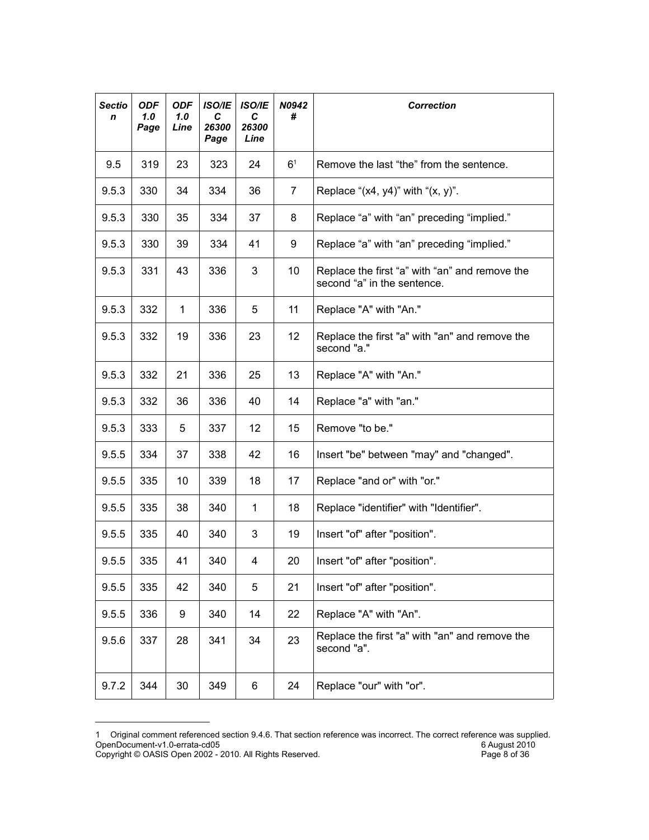| <b>Sectio</b><br>n | <b>ODF</b><br>1.0<br>Page | <b>ODF</b><br>1.0<br>Line | <b>ISO/IE</b><br>C<br>26300<br>Page | <b>ISO/IE</b><br>C<br>26300<br>Line | N0942<br>#     | <b>Correction</b>                                                             |
|--------------------|---------------------------|---------------------------|-------------------------------------|-------------------------------------|----------------|-------------------------------------------------------------------------------|
| 9.5                | 319                       | 23                        | 323                                 | 24                                  | 6 <sup>1</sup> | Remove the last "the" from the sentence.                                      |
| 9.5.3              | 330                       | 34                        | 334                                 | 36                                  | 7              | Replace " $(x4, y4)$ " with " $(x, y)$ ".                                     |
| 9.5.3              | 330                       | 35                        | 334                                 | 37                                  | 8              | Replace "a" with "an" preceding "implied."                                    |
| 9.5.3              | 330                       | 39                        | 334                                 | 41                                  | 9              | Replace "a" with "an" preceding "implied."                                    |
| 9.5.3              | 331                       | 43                        | 336                                 | 3                                   | 10             | Replace the first "a" with "an" and remove the<br>second "a" in the sentence. |
| 9.5.3              | 332                       | 1                         | 336                                 | 5                                   | 11             | Replace "A" with "An."                                                        |
| 9.5.3              | 332                       | 19                        | 336                                 | 23                                  | 12             | Replace the first "a" with "an" and remove the<br>second "a."                 |
| 9.5.3              | 332                       | 21                        | 336                                 | 25                                  | 13             | Replace "A" with "An."                                                        |
| 9.5.3              | 332                       | 36                        | 336                                 | 40                                  | 14             | Replace "a" with "an."                                                        |
| 9.5.3              | 333                       | 5                         | 337                                 | 12                                  | 15             | Remove "to be."                                                               |
| 9.5.5              | 334                       | 37                        | 338                                 | 42                                  | 16             | Insert "be" between "may" and "changed".                                      |
| 9.5.5              | 335                       | 10                        | 339                                 | 18                                  | 17             | Replace "and or" with "or."                                                   |
| 9.5.5              | 335                       | 38                        | 340                                 | 1                                   | 18             | Replace "identifier" with "Identifier".                                       |
| 9.5.5              | 335                       | 40                        | 340                                 | 3                                   | 19             | Insert "of" after "position".                                                 |
| 9.5.5              | 335                       | 41                        | 340                                 | 4                                   | 20             | Insert "of" after "position".                                                 |
| 9.5.5              | 335                       | 42                        | 340                                 | 5                                   | 21             | Insert "of" after "position".                                                 |
| 9.5.5              | 336                       | 9                         | 340                                 | 14                                  | 22             | Replace "A" with "An".                                                        |
| 9.5.6              | 337                       | 28                        | 341                                 | 34                                  | 23             | Replace the first "a" with "an" and remove the<br>second "a".                 |
| 9.7.2              | 344                       | 30                        | 349                                 | 6                                   | 24             | Replace "our" with "or".                                                      |

<span id="page-7-0"></span><sup>1</sup> Original comment referenced section 9.4.6. That section reference was incorrect. The correct reference was supplied. OpenDocument-v1.0-errata-cd05 6 August 2010 Copyright © OASIS Open 2002 - 2010. All Rights Reserved. Page 8 of 36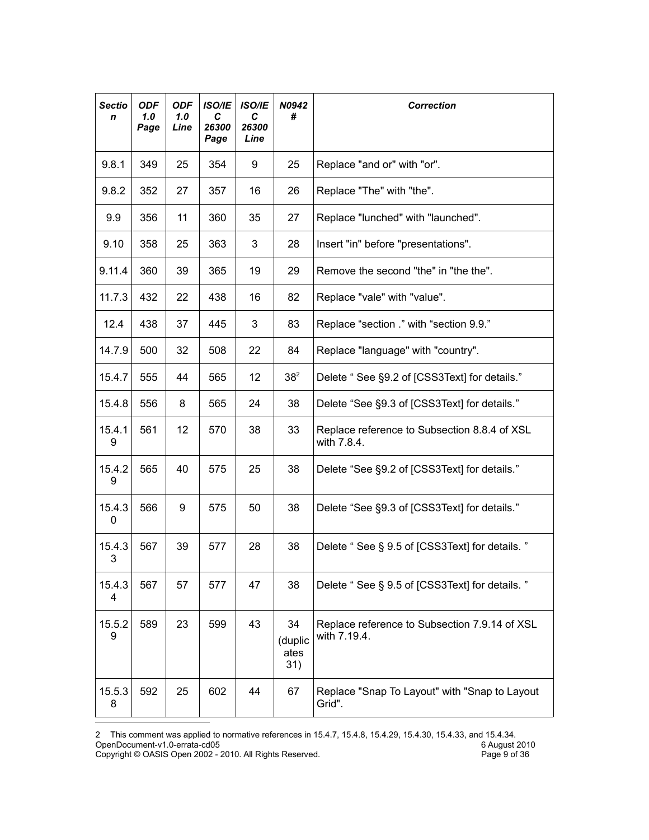| <b>Sectio</b><br>n | <b>ODF</b><br>1.0<br>Page | <b>ODF</b><br>1.0<br>Line | <b>ISO/IE</b><br>C<br>26300<br>Page | <b>ISO/IE</b><br>С<br>26300<br>Line | N0942<br>#                   | <b>Correction</b>                                             |
|--------------------|---------------------------|---------------------------|-------------------------------------|-------------------------------------|------------------------------|---------------------------------------------------------------|
| 9.8.1              | 349                       | 25                        | 354                                 | 9                                   | 25                           | Replace "and or" with "or".                                   |
| 9.8.2              | 352                       | 27                        | 357                                 | 16                                  | 26                           | Replace "The" with "the".                                     |
| 9.9                | 356                       | 11                        | 360                                 | 35                                  | 27                           | Replace "lunched" with "launched".                            |
| 9.10               | 358                       | 25                        | 363                                 | 3                                   | 28                           | Insert "in" before "presentations".                           |
| 9.11.4             | 360                       | 39                        | 365                                 | 19                                  | 29                           | Remove the second "the" in "the the".                         |
| 11.7.3             | 432                       | 22                        | 438                                 | 16                                  | 82                           | Replace "vale" with "value".                                  |
| 12.4               | 438                       | 37                        | 445                                 | 3                                   | 83                           | Replace "section ." with "section 9.9."                       |
| 14.7.9             | 500                       | 32                        | 508                                 | 22                                  | 84                           | Replace "language" with "country".                            |
| 15.4.7             | 555                       | 44                        | 565                                 | 12                                  | 38 <sup>2</sup>              | Delete "See §9.2 of [CSS3Text] for details."                  |
| 15.4.8             | 556                       | 8                         | 565                                 | 24                                  | 38                           | Delete "See §9.3 of [CSS3Text] for details."                  |
| 15.4.1<br>9        | 561                       | 12                        | 570                                 | 38                                  | 33                           | Replace reference to Subsection 8.8.4 of XSL<br>with 7.8.4.   |
| 15.4.2<br>9        | 565                       | 40                        | 575                                 | 25                                  | 38                           | Delete "See §9.2 of [CSS3Text] for details."                  |
| 15.4.3<br>0        | 566                       | 9                         | 575                                 | 50                                  | 38                           | Delete "See §9.3 of [CSS3Text] for details."                  |
| 15.4.3<br>3        | 567                       | 39                        | 577                                 | 28                                  | 38                           | Delete "See § 9.5 of [CSS3Text] for details. "                |
| 15.4.3<br>4        | 567                       | 57                        | 577                                 | 47                                  | 38                           | Delete "See § 9.5 of [CSS3Text] for details. "                |
| 15.5.2<br>9        | 589                       | 23                        | 599                                 | 43                                  | 34<br>(duplic<br>ates<br>31) | Replace reference to Subsection 7.9.14 of XSL<br>with 7.19.4. |
| 15.5.3<br>8        | 592                       | 25                        | 602                                 | 44                                  | 67                           | Replace "Snap To Layout" with "Snap to Layout<br>Grid".       |

<span id="page-8-0"></span><sup>2</sup> This comment was applied to normative references in 15.4.7, 15.4.8, 15.4.29, 15.4.30, 15.4.33, and 15.4.34. OpenDocument-v1.0-errata-cd05 6 August 2010 Copyright © OASIS Open 2002 - 2010. All Rights Reserved. Page 9 of 36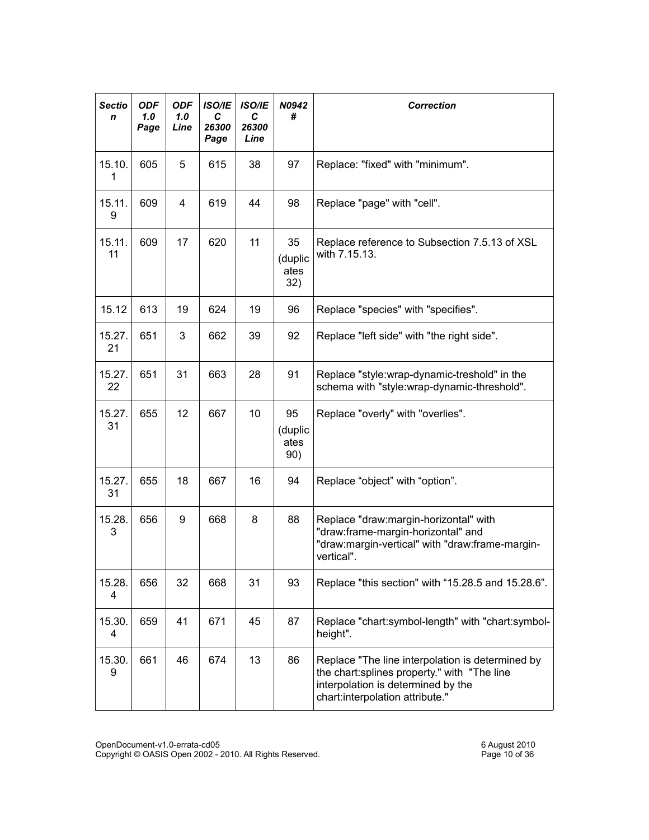| <b>Sectio</b><br>n | <b>ODF</b><br>1.0<br>Page | <b>ODF</b><br>1.0 <sub>1</sub><br>Line | <b>ISO/IE</b><br>С<br>26300<br>Page | <b>ISO/IE</b><br>C<br>26300<br>Line | N0942<br>#                   | <b>Correction</b>                                                                                                                                                        |
|--------------------|---------------------------|----------------------------------------|-------------------------------------|-------------------------------------|------------------------------|--------------------------------------------------------------------------------------------------------------------------------------------------------------------------|
| 15.10.<br>1        | 605                       | 5                                      | 615                                 | 38                                  | 97                           | Replace: "fixed" with "minimum".                                                                                                                                         |
| 15.11.<br>9        | 609                       | 4                                      | 619                                 | 44                                  | 98                           | Replace "page" with "cell".                                                                                                                                              |
| 15.11.<br>11       | 609                       | 17                                     | 620                                 | 11                                  | 35<br>(duplic<br>ates<br>32) | Replace reference to Subsection 7.5.13 of XSL<br>with 7.15.13.                                                                                                           |
| 15.12              | 613                       | 19                                     | 624                                 | 19                                  | 96                           | Replace "species" with "specifies".                                                                                                                                      |
| 15.27.<br>21       | 651                       | 3                                      | 662                                 | 39                                  | 92                           | Replace "left side" with "the right side".                                                                                                                               |
| 15.27.<br>22       | 651                       | 31                                     | 663                                 | 28                                  | 91                           | Replace "style:wrap-dynamic-treshold" in the<br>schema with "style:wrap-dynamic-threshold".                                                                              |
| 15.27.<br>31       | 655                       | 12                                     | 667                                 | 10                                  | 95<br>(duplic<br>ates<br>90) | Replace "overly" with "overlies".                                                                                                                                        |
| 15.27.<br>31       | 655                       | 18                                     | 667                                 | 16                                  | 94                           | Replace "object" with "option".                                                                                                                                          |
| 15.28.<br>3        | 656                       | 9                                      | 668                                 | 8                                   | 88                           | Replace "draw:margin-horizontal" with<br>"draw:frame-margin-horizontal" and<br>"draw:margin-vertical" with "draw:frame-margin-<br>vertical".                             |
| 15.28.<br>4        | 656                       | 32                                     | 668                                 | 31                                  | 93                           | Replace "this section" with "15.28.5 and 15.28.6".                                                                                                                       |
| 15.30.<br>4        | 659                       | 41                                     | 671                                 | 45                                  | 87                           | Replace "chart:symbol-length" with "chart:symbol-<br>height".                                                                                                            |
| 15.30.<br>9        | 661                       | 46                                     | 674                                 | 13                                  | 86                           | Replace "The line interpolation is determined by<br>the chart:splines property." with "The line<br>interpolation is determined by the<br>chart:interpolation attribute." |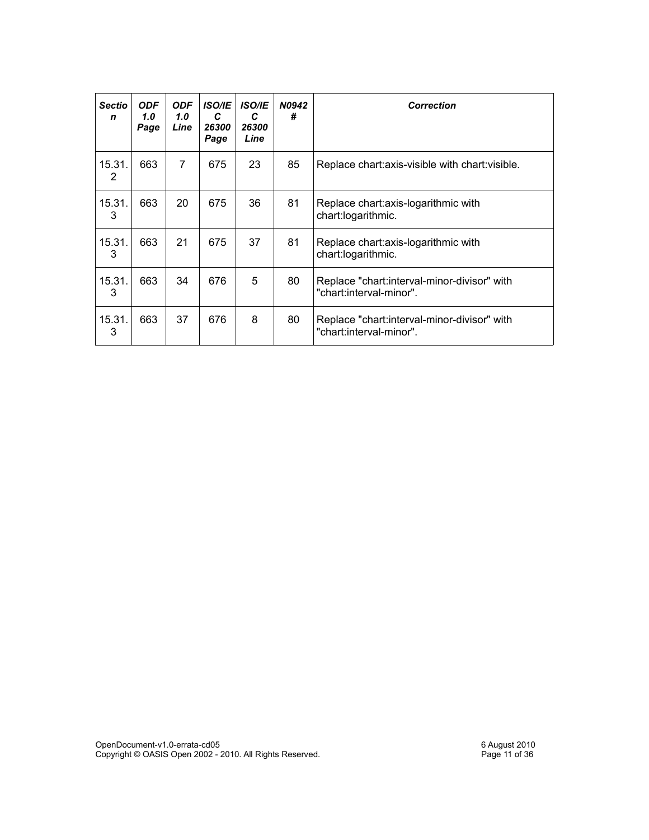| Sectio<br>$\mathbf n$ | <b>ODF</b><br>1.0<br>Page | <b>ODF</b><br>1.0<br>Line | <b>ISO/IE</b><br>C<br>26300<br>Page | <b>ISO/IE</b><br>C<br>26300<br>Line | <b>N0942</b><br># | <b>Correction</b>                                                      |
|-----------------------|---------------------------|---------------------------|-------------------------------------|-------------------------------------|-------------------|------------------------------------------------------------------------|
| 15.31.<br>2           | 663                       | 7                         | 675                                 | 23                                  | 85                | Replace chart: axis-visible with chart: visible.                       |
| 15.31.<br>3           | 663                       | 20                        | 675                                 | 36                                  | 81                | Replace chart: axis-logarithmic with<br>chart:logarithmic.             |
| 15.31.<br>3           | 663                       | 21                        | 675                                 | 37                                  | 81                | Replace chart: axis-logarithmic with<br>chart:logarithmic.             |
| 15.31.<br>3           | 663                       | 34                        | 676                                 | 5                                   | 80                | Replace "chart:interval-minor-divisor" with<br>"chart:interval-minor". |
| 15.31.<br>3           | 663                       | 37                        | 676                                 | 8                                   | 80                | Replace "chart:interval-minor-divisor" with<br>"chart:interval-minor". |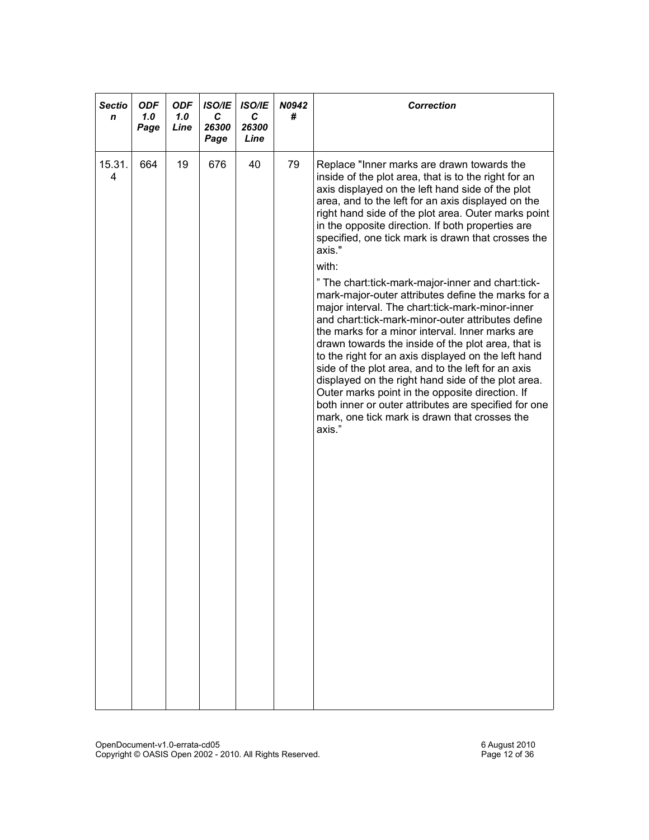| <b>Sectio</b><br>n | <b>ODF</b><br>1.0<br>Page | <b>ODF</b><br>1.0<br>Line | <b>ISO/IE</b><br>С<br>26300<br>Page | <b>ISO/IE</b><br>С<br>26300<br>Line | N0942<br># | <b>Correction</b>                                                                                                                                                                                                                                                                                                                                                                                                                                                                                                                                                                                                                                                                                                                                                                                                                                                                                                                                                                                                                                                      |
|--------------------|---------------------------|---------------------------|-------------------------------------|-------------------------------------|------------|------------------------------------------------------------------------------------------------------------------------------------------------------------------------------------------------------------------------------------------------------------------------------------------------------------------------------------------------------------------------------------------------------------------------------------------------------------------------------------------------------------------------------------------------------------------------------------------------------------------------------------------------------------------------------------------------------------------------------------------------------------------------------------------------------------------------------------------------------------------------------------------------------------------------------------------------------------------------------------------------------------------------------------------------------------------------|
| 15.31.<br>4        | 664                       | 19                        | 676                                 | 40                                  | 79         | Replace "Inner marks are drawn towards the<br>inside of the plot area, that is to the right for an<br>axis displayed on the left hand side of the plot<br>area, and to the left for an axis displayed on the<br>right hand side of the plot area. Outer marks point<br>in the opposite direction. If both properties are<br>specified, one tick mark is drawn that crosses the<br>axis."<br>with:<br>" The chart:tick-mark-major-inner and chart:tick-<br>mark-major-outer attributes define the marks for a<br>major interval. The chart:tick-mark-minor-inner<br>and chart:tick-mark-minor-outer attributes define<br>the marks for a minor interval. Inner marks are<br>drawn towards the inside of the plot area, that is<br>to the right for an axis displayed on the left hand<br>side of the plot area, and to the left for an axis<br>displayed on the right hand side of the plot area.<br>Outer marks point in the opposite direction. If<br>both inner or outer attributes are specified for one<br>mark, one tick mark is drawn that crosses the<br>axis." |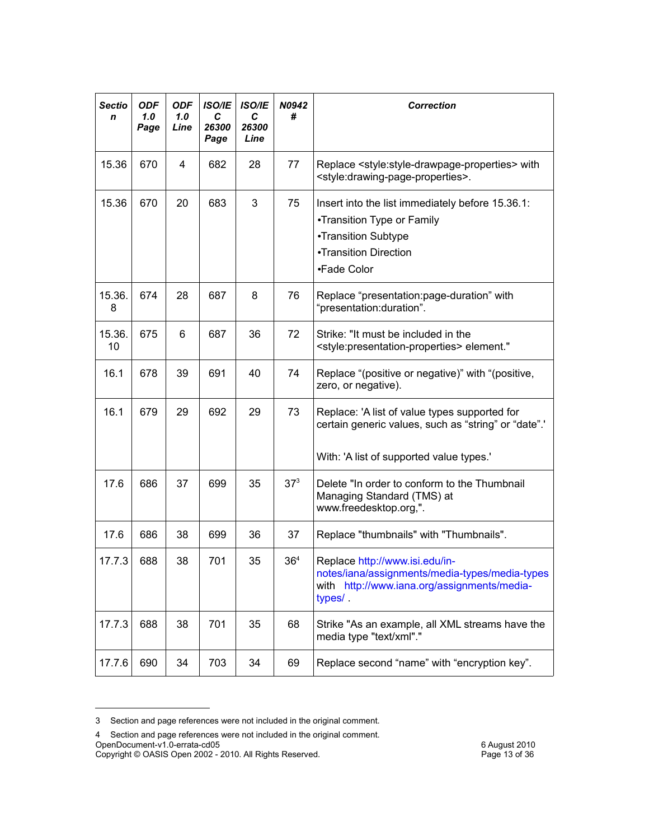| <b>Sectio</b><br>n | <b>ODF</b><br>1.0<br>Page | <b>ODF</b><br>1.0<br>Line | <b>ISO/IE</b><br>С<br>26300<br>Page | <b>ISO/IE</b><br>С<br>26300<br>Line | N0942<br>#                                                                                                                                          | <b>Correction</b>                                                                                                                                     |
|--------------------|---------------------------|---------------------------|-------------------------------------|-------------------------------------|-----------------------------------------------------------------------------------------------------------------------------------------------------|-------------------------------------------------------------------------------------------------------------------------------------------------------|
| 15.36              | 670                       | 4                         | 682                                 | 28                                  | 77                                                                                                                                                  | Replace <style:style-drawpage-properties> with<br/><style:drawing-page-properties>.</style:drawing-page-properties></style:style-drawpage-properties> |
| 15.36              | 670                       | 20                        | 683                                 | 3                                   | 75<br>Insert into the list immediately before 15.36.1:<br>•Transition Type or Family<br>•Transition Subtype<br>•Transition Direction<br>•Fade Color |                                                                                                                                                       |
| 15.36.<br>8        | 674                       | 28                        | 687                                 | 8                                   | 76                                                                                                                                                  | Replace "presentation:page-duration" with<br>"presentation:duration".                                                                                 |
| 15.36.<br>10       | 675                       | 6                         | 687                                 | 36                                  | 72                                                                                                                                                  | Strike: "It must be included in the<br><style:presentation-properties> element."</style:presentation-properties>                                      |
| 16.1               | 678                       | 39                        | 691                                 | 40                                  | 74                                                                                                                                                  | Replace "(positive or negative)" with "(positive,<br>zero, or negative).                                                                              |
| 16.1               | 679                       | 29                        | 692                                 | 29                                  | 73                                                                                                                                                  | Replace: 'A list of value types supported for<br>certain generic values, such as "string" or "date".'<br>With: 'A list of supported value types.'     |
| 17.6               | 686                       | 37                        | 699                                 | 35                                  | $37^{3}$                                                                                                                                            | Delete "In order to conform to the Thumbnail<br>Managing Standard (TMS) at<br>www.freedesktop.org,".                                                  |
| 17.6               | 686                       | 38                        | 699                                 | 36                                  | 37                                                                                                                                                  | Replace "thumbnails" with "Thumbnails".                                                                                                               |
| 17.7.3             | 688                       | 38                        | 701                                 | 35                                  | 36 <sup>4</sup>                                                                                                                                     | Replace http://www.isi.edu/in-<br>notes/iana/assignments/media-types/media-types<br>with http://www.iana.org/assignments/media-<br>types/.            |
| 17.7.3             | 688                       | 38                        | 701                                 | 35                                  | 68                                                                                                                                                  | Strike "As an example, all XML streams have the<br>media type "text/xml"."                                                                            |
| 17.7.6             | 690                       | 34                        | 703                                 | 34                                  | 69                                                                                                                                                  | Replace second "name" with "encryption key".                                                                                                          |

<span id="page-12-0"></span><sup>3</sup> Section and page references were not included in the original comment.

<span id="page-12-1"></span><sup>4</sup> Section and page references were not included in the original comment. OpenDocument-v1.0-errata-cd05 6 August 2010

Copyright © OASIS Open 2002 - 2010. All Rights Reserved. Page 13 of 36 36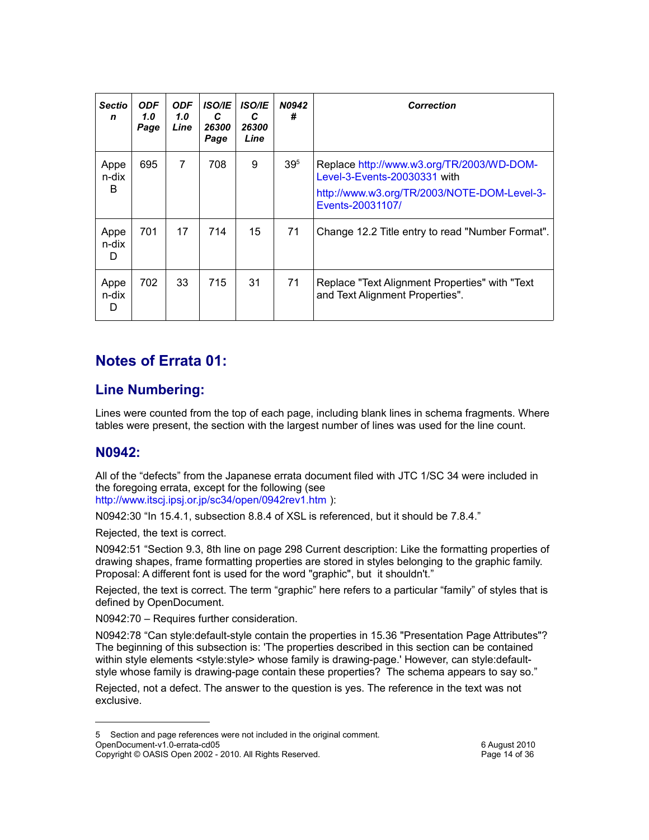| Sectio<br>n        | <b>ODF</b><br>1.0 <sub>1</sub><br>Page | <b>ODF</b><br>1.0 <sub>1</sub><br>Line | <b>ISO/IE</b><br>C<br>26300<br>Page | <b>ISO/IE</b><br>C<br>26300<br>Line | <b>N0942</b><br># | <b>Correction</b>                                                                                                                            |
|--------------------|----------------------------------------|----------------------------------------|-------------------------------------|-------------------------------------|-------------------|----------------------------------------------------------------------------------------------------------------------------------------------|
| Appe<br>n-dix<br>B | 695                                    | $\overline{7}$                         | 708                                 | 9                                   | 39 <sup>5</sup>   | Replace http://www.w3.org/TR/2003/WD-DOM-<br>Level-3-Events-20030331 with<br>http://www.w3.org/TR/2003/NOTE-DOM-Level-3-<br>Events-20031107/ |
| Appe<br>n-dix<br>D | 701                                    | 17                                     | 714                                 | 15                                  | 71                | Change 12.2 Title entry to read "Number Format".                                                                                             |
| Appe<br>n-dix<br>D | 702                                    | 33                                     | 715                                 | 31                                  | 71                | Replace "Text Alignment Properties" with "Text<br>and Text Alignment Properties".                                                            |

### **Notes of Errata 01:**

#### **Line Numbering:**

Lines were counted from the top of each page, including blank lines in schema fragments. Where tables were present, the section with the largest number of lines was used for the line count.

#### **N0942:**

All of the "defects" from the Japanese errata document filed with JTC 1/SC 34 were included in the foregoing errata, except for the following (see <http://www.itscj.ipsj.or.jp/sc34/open/0942rev1.htm> ):

N0942:30 "In 15.4.1, subsection 8.8.4 of XSL is referenced, but it should be 7.8.4."

Rejected, the text is correct.

N0942:51 "Section 9.3, 8th line on page 298 Current description: Like the formatting properties of drawing shapes, frame formatting properties are stored in styles belonging to the graphic family. Proposal: A different font is used for the word "graphic", but it shouldn't."

Rejected, the text is correct. The term "graphic" here refers to a particular "family" of styles that is defined by OpenDocument.

N0942:70 – Requires further consideration.

N0942:78 "Can style:default-style contain the properties in 15.36 "Presentation Page Attributes"? The beginning of this subsection is: 'The properties described in this section can be contained within style elements <style:style> whose family is drawing-page.' However, can style:defaultstyle whose family is drawing-page contain these properties? The schema appears to say so."

Rejected, not a defect. The answer to the question is yes. The reference in the text was not exclusive.

<span id="page-13-0"></span><sup>5</sup> Section and page references were not included in the original comment. OpenDocument-v1.0-errata-cd05 6 August 2010

Copyright © OASIS Open 2002 - 2010. All Rights Reserved.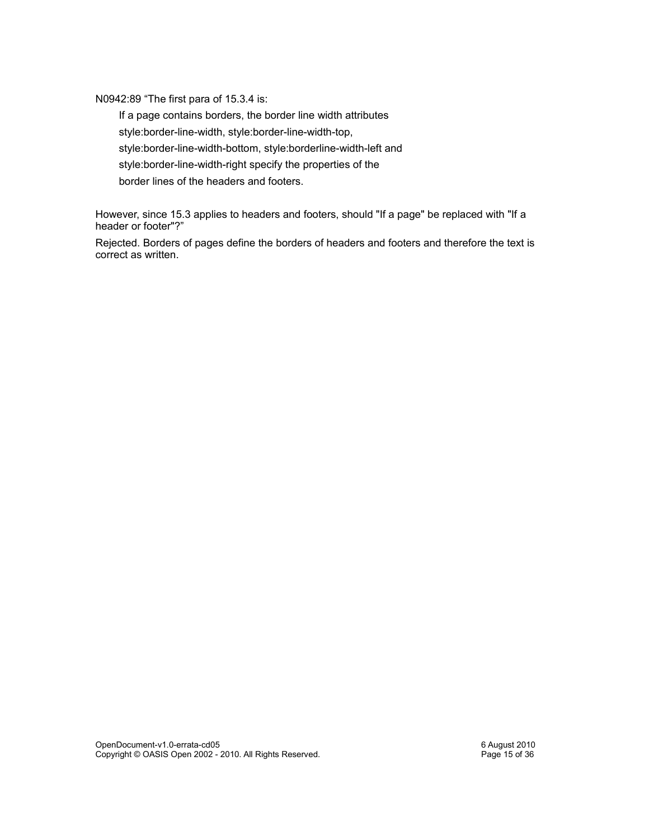N0942:89 "The first para of 15.3.4 is:

 If a page contains borders, the border line width attributes style:border-line-width, style:border-line-width-top, style:border-line-width-bottom, style:borderline-width-left and style:border-line-width-right specify the properties of the border lines of the headers and footers.

However, since 15.3 applies to headers and footers, should "If a page" be replaced with "If a header or footer"?"

Rejected. Borders of pages define the borders of headers and footers and therefore the text is correct as written.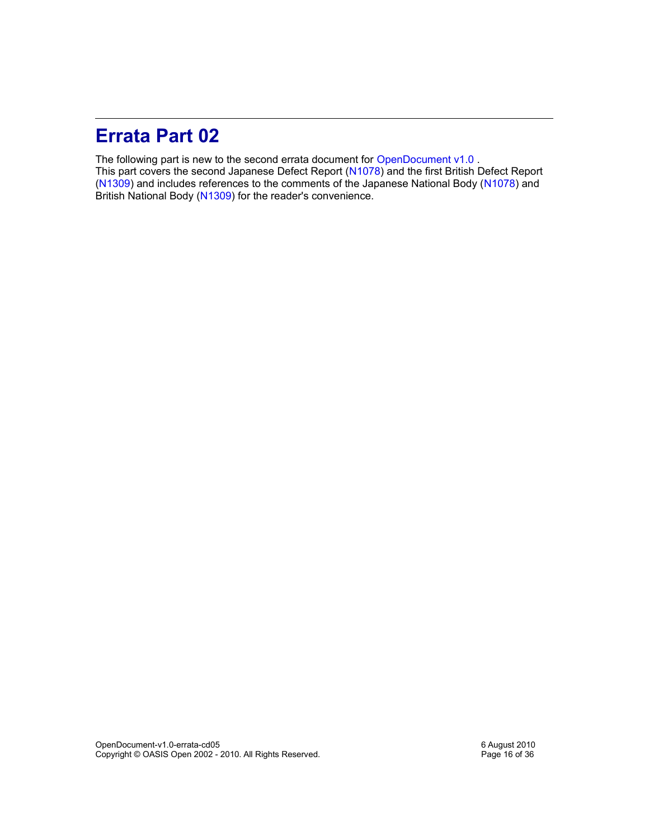### **Errata Part 02**

The following part is new to the second errata document for [OpenDocument v1.0](http://docs.oasis-open.org/office/v1.0/OpenDocument-v1.0-os.pdf). This part covers the second Japanese Defect Report [\(N1078\)](http://www.itscj.ipsj.or.jp/sc34/open/1078.htm) and the first British Defect Report [\(N1309\)](http://www.itscj.ipsj.or.jp/sc34/open/1309.htm) and includes references to the comments of the Japanese National Body [\(N1078\)](http://www.itscj.ipsj.or.jp/sc34/open/1078.htm) and British National Body [\(N1309\)](http://www.itscj.ipsj.or.jp/sc34/open/1309.htm) for the reader's convenience.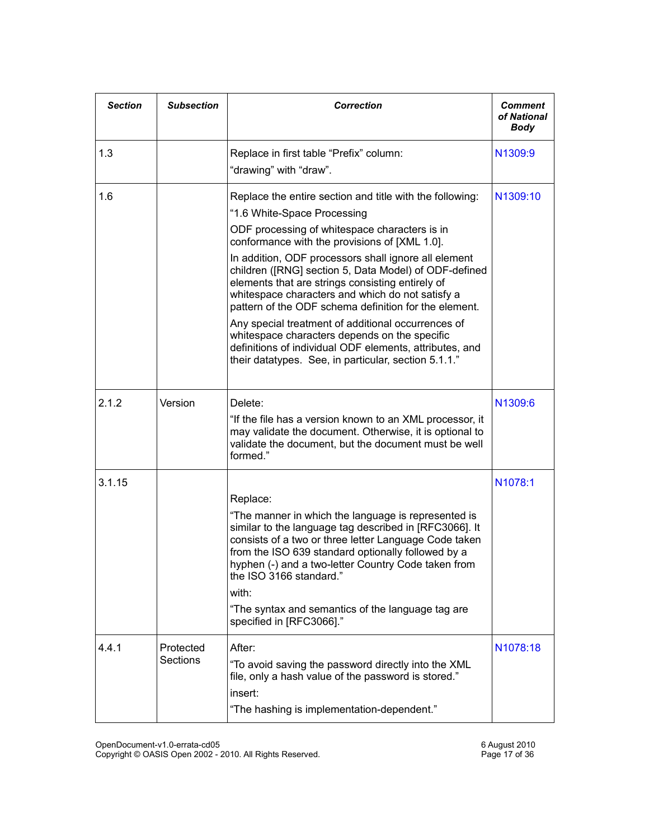| <b>Section</b> | <b>Subsection</b>     | <b>Correction</b>                                                                                                                                                                                                                                                                                                                                                                                                                                                                                                                                                                                                                                                                                     | <b>Comment</b><br>of National<br><b>Body</b> |
|----------------|-----------------------|-------------------------------------------------------------------------------------------------------------------------------------------------------------------------------------------------------------------------------------------------------------------------------------------------------------------------------------------------------------------------------------------------------------------------------------------------------------------------------------------------------------------------------------------------------------------------------------------------------------------------------------------------------------------------------------------------------|----------------------------------------------|
| 1.3            |                       | Replace in first table "Prefix" column:<br>"drawing" with "draw".                                                                                                                                                                                                                                                                                                                                                                                                                                                                                                                                                                                                                                     | N1309:9                                      |
| 1.6            |                       | Replace the entire section and title with the following:<br>"1.6 White-Space Processing<br>ODF processing of whitespace characters is in<br>conformance with the provisions of [XML 1.0].<br>In addition, ODF processors shall ignore all element<br>children ([RNG] section 5, Data Model) of ODF-defined<br>elements that are strings consisting entirely of<br>whitespace characters and which do not satisfy a<br>pattern of the ODF schema definition for the element.<br>Any special treatment of additional occurrences of<br>whitespace characters depends on the specific<br>definitions of individual ODF elements, attributes, and<br>their datatypes. See, in particular, section 5.1.1." | N1309:10                                     |
| 2.1.2          | Version               | Delete:<br>"If the file has a version known to an XML processor, it<br>may validate the document. Otherwise, it is optional to<br>validate the document, but the document must be well<br>formed."                                                                                                                                                                                                                                                                                                                                                                                                                                                                                                    | N1309:6                                      |
| 3.1.15         |                       | Replace:<br>"The manner in which the language is represented is<br>similar to the language tag described in [RFC3066]. It<br>consists of a two or three letter Language Code taken<br>from the ISO 639 standard optionally followed by a<br>hyphen (-) and a two-letter Country Code taken from<br>the ISO 3166 standard."<br>with:<br>"The syntax and semantics of the language tag are<br>specified in [RFC3066]."                                                                                                                                                                                                                                                                                  | N1078:1                                      |
| 4.4.1          | Protected<br>Sections | After:<br>"To avoid saving the password directly into the XML<br>file, only a hash value of the password is stored."<br>insert:<br>"The hashing is implementation-dependent."                                                                                                                                                                                                                                                                                                                                                                                                                                                                                                                         | N1078:18                                     |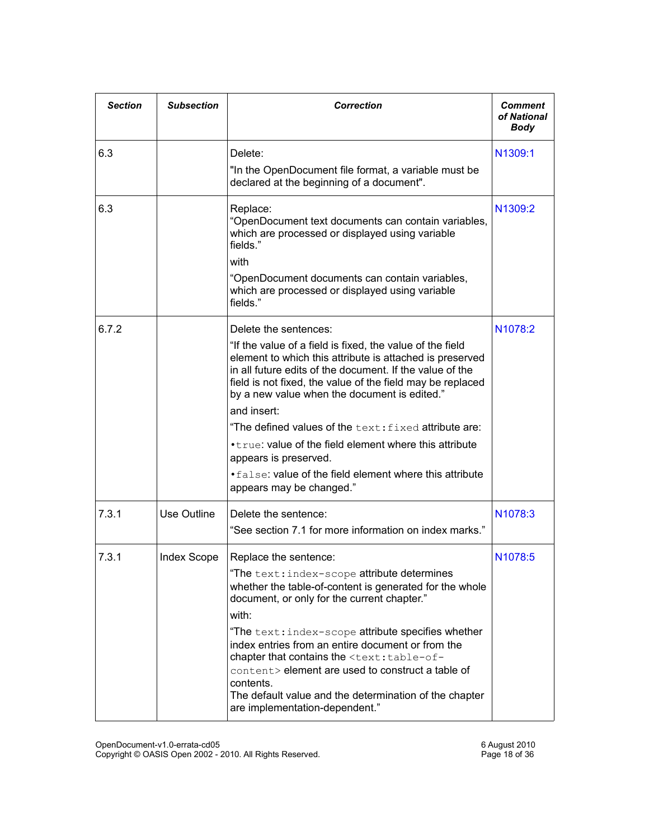| <b>Section</b> | <b>Subsection</b> | <b>Correction</b>                                                                                                                                                                                                                                                                                                                                                                                                                                                                                                                                                            | <b>Comment</b><br>of National<br><b>Body</b> |
|----------------|-------------------|------------------------------------------------------------------------------------------------------------------------------------------------------------------------------------------------------------------------------------------------------------------------------------------------------------------------------------------------------------------------------------------------------------------------------------------------------------------------------------------------------------------------------------------------------------------------------|----------------------------------------------|
| 6.3            |                   | Delete:<br>"In the OpenDocument file format, a variable must be<br>declared at the beginning of a document".                                                                                                                                                                                                                                                                                                                                                                                                                                                                 | N1309:1                                      |
| 6.3            |                   | Replace:<br>"OpenDocument text documents can contain variables,<br>which are processed or displayed using variable<br>fields"<br>with<br>"OpenDocument documents can contain variables,<br>which are processed or displayed using variable<br>fields."                                                                                                                                                                                                                                                                                                                       | N1309:2                                      |
| 6.7.2          |                   | Delete the sentences:<br>"If the value of a field is fixed, the value of the field<br>element to which this attribute is attached is preserved<br>in all future edits of the document. If the value of the<br>field is not fixed, the value of the field may be replaced<br>by a new value when the document is edited."<br>and insert:<br>"The defined values of the text: fixed attribute are:<br>• true: value of the field element where this attribute<br>appears is preserved.<br>. false: value of the field element where this attribute<br>appears may be changed." | N <sub>1078</sub> :2                         |
| 7.3.1          | Use Outline       | Delete the sentence:<br>"See section 7.1 for more information on index marks."                                                                                                                                                                                                                                                                                                                                                                                                                                                                                               | N <sub>1078</sub> :3                         |
| 7.3.1          | Index Scope       | Replace the sentence:<br>"The text: index-scope attribute determines<br>whether the table-of-content is generated for the whole<br>document, or only for the current chapter."<br>with:<br>"The text: index-scope attribute specifies whether<br>index entries from an entire document or from the<br>chapter that contains the <text:table-of-<br>content&gt; element are used to construct a table of<br/>contents.<br/>The default value and the determination of the chapter<br/>are implementation-dependent."</text:table-of-<br>                                      | N <sub>1078</sub> :5                         |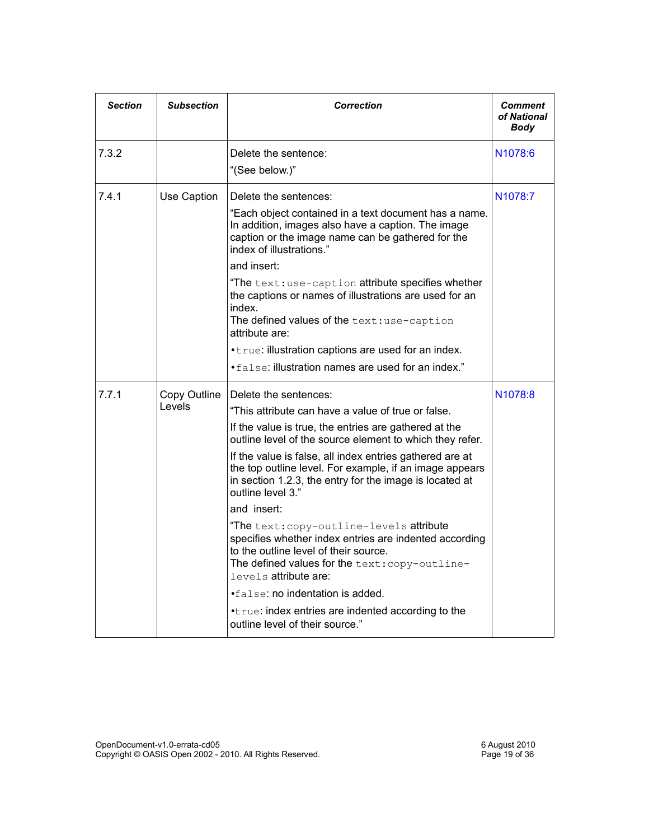| <b>Section</b> | <b>Subsection</b>      | <b>Correction</b>                                                                                                                                                                                                                                                                                                                                                                                                                                                                                                                                                                                                                                                                                                                                                                      | <b>Comment</b><br>of National<br>Body |
|----------------|------------------------|----------------------------------------------------------------------------------------------------------------------------------------------------------------------------------------------------------------------------------------------------------------------------------------------------------------------------------------------------------------------------------------------------------------------------------------------------------------------------------------------------------------------------------------------------------------------------------------------------------------------------------------------------------------------------------------------------------------------------------------------------------------------------------------|---------------------------------------|
| 7.3.2          |                        | Delete the sentence:<br>"(See below.)"                                                                                                                                                                                                                                                                                                                                                                                                                                                                                                                                                                                                                                                                                                                                                 | N <sub>1078</sub> :6                  |
| 7.4.1          | Use Caption            | Delete the sentences:<br>"Each object contained in a text document has a name.<br>In addition, images also have a caption. The image<br>caption or the image name can be gathered for the<br>index of illustrations."<br>and insert:<br>"The text:use-caption attribute specifies whether<br>the captions or names of illustrations are used for an<br>index.<br>The defined values of the text:use-caption<br>attribute are:<br>• true: illustration captions are used for an index.<br>• false: illustration names are used for an index."                                                                                                                                                                                                                                           | N <sub>1078</sub> :7                  |
| 7.7.1          | Copy Outline<br>Levels | Delete the sentences:<br>"This attribute can have a value of true or false.<br>If the value is true, the entries are gathered at the<br>outline level of the source element to which they refer.<br>If the value is false, all index entries gathered are at<br>the top outline level. For example, if an image appears<br>in section 1.2.3, the entry for the image is located at<br>outline level 3."<br>and insert:<br>"The text: copy-outline-levels attribute<br>specifies whether index entries are indented according<br>to the outline level of their source.<br>The defined values for the text: copy-outline-<br>levels attribute are:<br>$\bullet$ false: no indentation is added.<br>.true: index entries are indented according to the<br>outline level of their source." | N <sub>1078</sub> :8                  |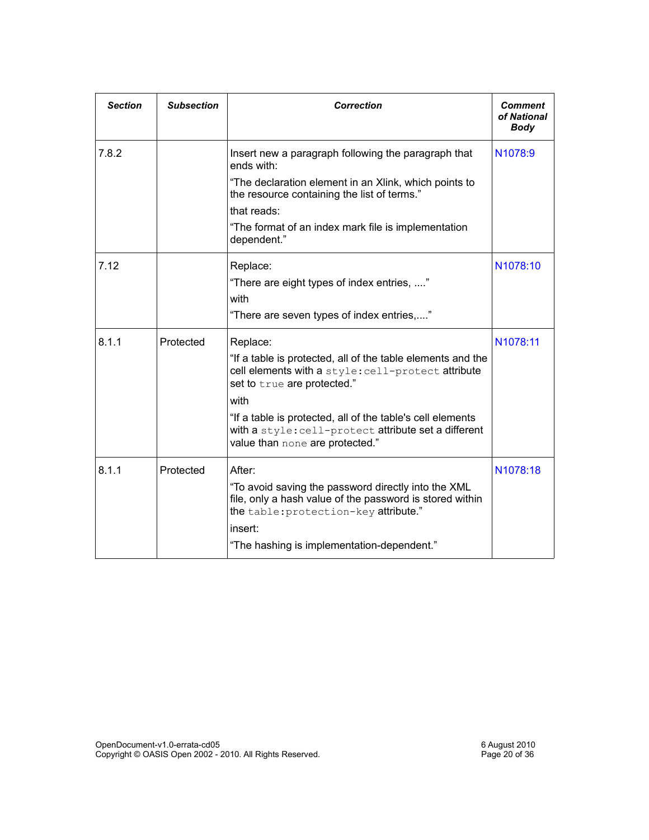| <b>Section</b> | <b>Subsection</b> | <b>Correction</b>                                                                                                                                        | Comment<br>of National<br><b>Body</b> |
|----------------|-------------------|----------------------------------------------------------------------------------------------------------------------------------------------------------|---------------------------------------|
| 7.8.2          |                   | Insert new a paragraph following the paragraph that<br>ends with:                                                                                        | N1078:9                               |
|                |                   | "The declaration element in an Xlink, which points to<br>the resource containing the list of terms."                                                     |                                       |
|                |                   | that reads:                                                                                                                                              |                                       |
|                |                   | "The format of an index mark file is implementation<br>dependent."                                                                                       |                                       |
| 7.12           |                   | Replace:                                                                                                                                                 | N1078:10                              |
|                |                   | "There are eight types of index entries, "<br>with                                                                                                       |                                       |
|                |                   | "There are seven types of index entries,"                                                                                                                |                                       |
| 8.1.1          | Protected         | Replace:                                                                                                                                                 | N1078:11                              |
|                |                   | "If a table is protected, all of the table elements and the<br>cell elements with a style: cell-protect attribute<br>set to true are protected."         |                                       |
|                |                   | with                                                                                                                                                     |                                       |
|                |                   | "If a table is protected, all of the table's cell elements<br>with a style: cell-protect attribute set a different<br>value than none are protected."    |                                       |
| 8.1.1          | Protected         | After:                                                                                                                                                   | N1078:18                              |
|                |                   | "To avoid saving the password directly into the XML<br>file, only a hash value of the password is stored within<br>the table: protection-key attribute." |                                       |
|                |                   | insert:                                                                                                                                                  |                                       |
|                |                   | "The hashing is implementation-dependent."                                                                                                               |                                       |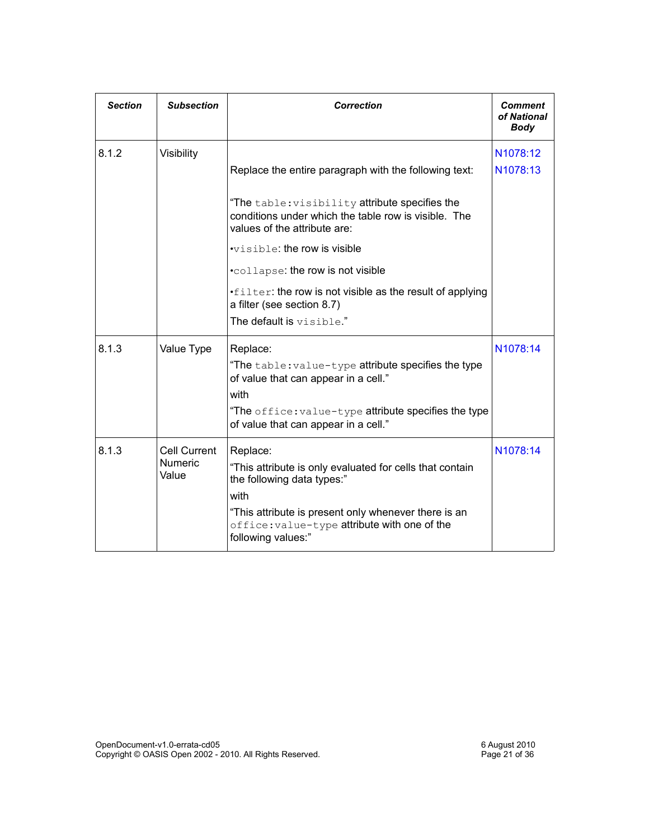| <b>Section</b> | <b>Subsection</b>                              | <b>Correction</b>                                                                                                                                                                                                                        | <b>Comment</b><br>of National<br><b>Body</b> |
|----------------|------------------------------------------------|------------------------------------------------------------------------------------------------------------------------------------------------------------------------------------------------------------------------------------------|----------------------------------------------|
| 8.1.2          | Visibility                                     | Replace the entire paragraph with the following text:                                                                                                                                                                                    | N1078:12<br>N1078:13                         |
|                |                                                | "The table: visibility attribute specifies the<br>conditions under which the table row is visible. The<br>values of the attribute are:                                                                                                   |                                              |
|                |                                                | $\cdot$ visible: the row is visible                                                                                                                                                                                                      |                                              |
|                |                                                | .collapse: the row is not visible                                                                                                                                                                                                        |                                              |
|                |                                                | .filter: the row is not visible as the result of applying<br>a filter (see section 8.7)                                                                                                                                                  |                                              |
|                |                                                | The default is visible."                                                                                                                                                                                                                 |                                              |
| 8.1.3          | Value Type                                     | Replace:<br>"The table: value-type attribute specifies the type<br>of value that can appear in a cell."<br>with<br>"The office: value-type attribute specifies the type<br>of value that can appear in a cell."                          | N1078:14                                     |
| 8.1.3          | <b>Cell Current</b><br><b>Numeric</b><br>Value | Replace:<br>"This attribute is only evaluated for cells that contain<br>the following data types:"<br>with<br>"This attribute is present only whenever there is an<br>office: value-type attribute with one of the<br>following values:" | N1078:14                                     |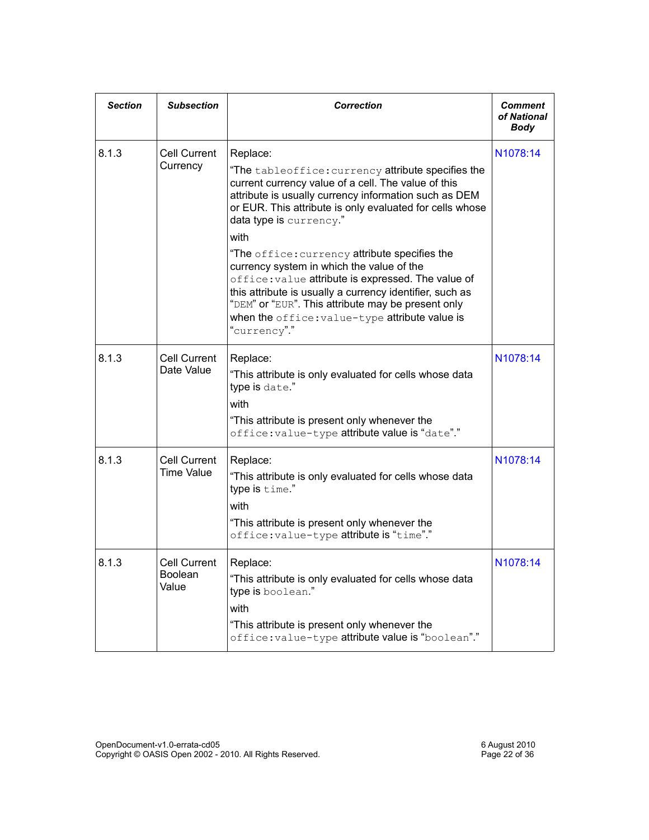| <b>Section</b> | <b>Subsection</b>                        | <b>Correction</b>                                                                                                                                                                                                                                                                                                                                                                                                                                                                                                                                                                                                            | Comment<br>of National<br>Body |
|----------------|------------------------------------------|------------------------------------------------------------------------------------------------------------------------------------------------------------------------------------------------------------------------------------------------------------------------------------------------------------------------------------------------------------------------------------------------------------------------------------------------------------------------------------------------------------------------------------------------------------------------------------------------------------------------------|--------------------------------|
| 8.1.3          | Cell Current<br>Currency                 | Replace:<br>"The ${\tt tableoffice:currency}$ attribute specifies the<br>current currency value of a cell. The value of this<br>attribute is usually currency information such as DEM<br>or EUR. This attribute is only evaluated for cells whose<br>data type is currency."<br>with<br>"The office: currency attribute specifies the<br>currency system in which the value of the<br>office: value attribute is expressed. The value of<br>this attribute is usually a currency identifier, such as<br>"DEM" or "EUR". This attribute may be present only<br>when the office: value-type attribute value is<br>"currency"." | N1078:14                       |
| 8.1.3          | <b>Cell Current</b><br>Date Value        | Replace:<br>"This attribute is only evaluated for cells whose data<br>type is date."<br>with<br>"This attribute is present only whenever the<br>office: value-type attribute value is "date"."                                                                                                                                                                                                                                                                                                                                                                                                                               | N1078:14                       |
| 8.1.3          | <b>Cell Current</b><br><b>Time Value</b> | Replace:<br>"This attribute is only evaluated for cells whose data<br>type is time."<br>with<br>"This attribute is present only whenever the<br>office:value-type attribute is "time"."                                                                                                                                                                                                                                                                                                                                                                                                                                      | N1078:14                       |
| 8.1.3          | <b>Cell Current</b><br>Boolean<br>Value  | Replace:<br>"This attribute is only evaluated for cells whose data<br>type is boolean."<br>with<br>"This attribute is present only whenever the<br>office: value-type attribute value is "boolean"."                                                                                                                                                                                                                                                                                                                                                                                                                         | N1078:14                       |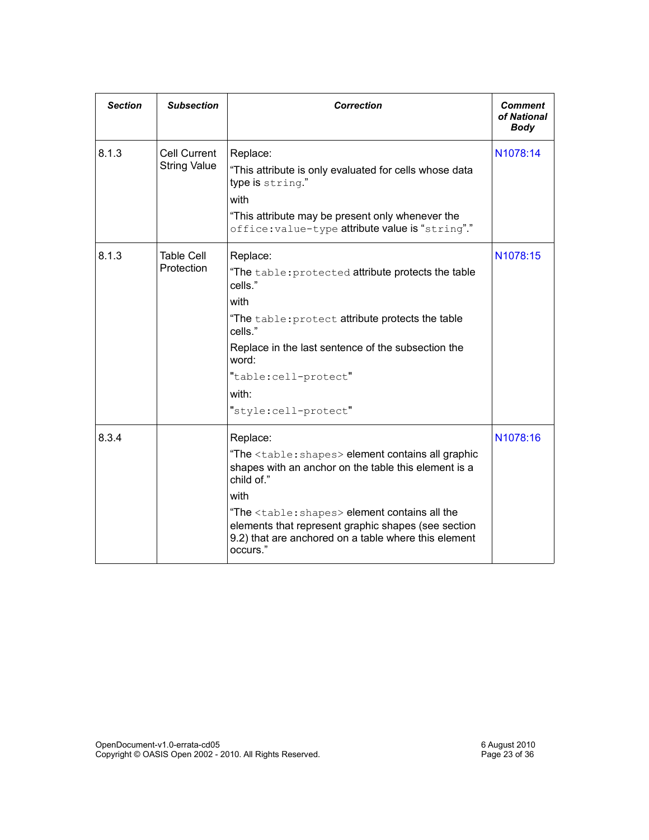| <b>Section</b> | <b>Subsection</b>                          | <b>Correction</b>                                                                                                                                                                                                                                                                                                                                      | <b>Comment</b><br>of National<br><b>Body</b> |
|----------------|--------------------------------------------|--------------------------------------------------------------------------------------------------------------------------------------------------------------------------------------------------------------------------------------------------------------------------------------------------------------------------------------------------------|----------------------------------------------|
| 8.1.3          | <b>Cell Current</b><br><b>String Value</b> | Replace:<br>"This attribute is only evaluated for cells whose data<br>type is string."<br>with<br>"This attribute may be present only whenever the<br>office: value-type attribute value is "string"."                                                                                                                                                 | N1078:14                                     |
| 8.1.3          | <b>Table Cell</b><br>Protection            | Replace:<br>"The table: protected attribute protects the table<br>cells."<br>with<br>"The table: protect attribute protects the table<br>cells."<br>Replace in the last sentence of the subsection the<br>word:<br>"table:cell-protect"<br>with:<br>"style:cell-protect"                                                                               | N1078:15                                     |
| 8.3.4          |                                            | Replace:<br>"The <table: shapes=""> element contains all graphic<br/>shapes with an anchor on the table this element is a<br/>child of."<br/>with<br/>"The <table: shapes=""> element contains all the<br/>elements that represent graphic shapes (see section<br/>9.2) that are anchored on a table where this element<br/>occurs."</table:></table:> | N1078:16                                     |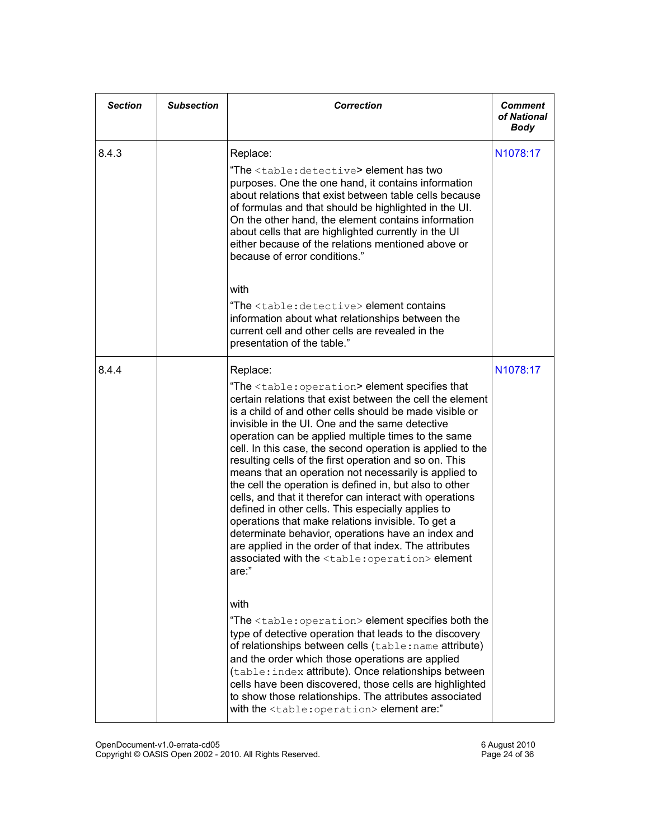| <b>Section</b> | <b>Subsection</b> | <b>Correction</b>                                                                                                                                                                                                                                                                                                                                                                                                                                                                                                                                                                                                                                                                                                                                                                                                                                                                                                                  | <b>Comment</b><br>of National<br>Body |
|----------------|-------------------|------------------------------------------------------------------------------------------------------------------------------------------------------------------------------------------------------------------------------------------------------------------------------------------------------------------------------------------------------------------------------------------------------------------------------------------------------------------------------------------------------------------------------------------------------------------------------------------------------------------------------------------------------------------------------------------------------------------------------------------------------------------------------------------------------------------------------------------------------------------------------------------------------------------------------------|---------------------------------------|
| 8.4.3          |                   | Replace:<br>"The <table: detective=""> element has two<br/>purposes. One the one hand, it contains information<br/>about relations that exist between table cells because<br/>of formulas and that should be highlighted in the UI.<br/>On the other hand, the element contains information<br/>about cells that are highlighted currently in the UI<br/>either because of the relations mentioned above or<br/>because of error conditions."</table:>                                                                                                                                                                                                                                                                                                                                                                                                                                                                             | N1078:17                              |
|                |                   | with<br>"The <table: detective=""> element contains<br/>information about what relationships between the<br/>current cell and other cells are revealed in the<br/>presentation of the table."</table:>                                                                                                                                                                                                                                                                                                                                                                                                                                                                                                                                                                                                                                                                                                                             |                                       |
| 8.4.4          |                   | Replace:<br>"The <table: operation=""> element specifies that<br/>certain relations that exist between the cell the element<br/>is a child of and other cells should be made visible or<br/>invisible in the UI. One and the same detective<br/>operation can be applied multiple times to the same<br/>cell. In this case, the second operation is applied to the<br/>resulting cells of the first operation and so on. This<br/>means that an operation not necessarily is applied to<br/>the cell the operation is defined in, but also to other<br/>cells, and that it therefor can interact with operations<br/>defined in other cells. This especially applies to<br/>operations that make relations invisible. To get a<br/>determinate behavior, operations have an index and<br/>are applied in the order of that index. The attributes<br/>associated with the <table: operation=""> element<br/>are:"</table:></table:> | N1078:17                              |
|                |                   | with<br>"The <table: operation=""> element specifies both the<br/>type of detective operation that leads to the discovery<br/>of relationships between cells (table: name attribute)<br/>and the order which those operations are applied<br/>(table: index attribute). Once relationships between<br/>cells have been discovered, those cells are highlighted<br/>to show those relationships. The attributes associated<br/>with the <table: operation=""> element are:"</table:></table:>                                                                                                                                                                                                                                                                                                                                                                                                                                       |                                       |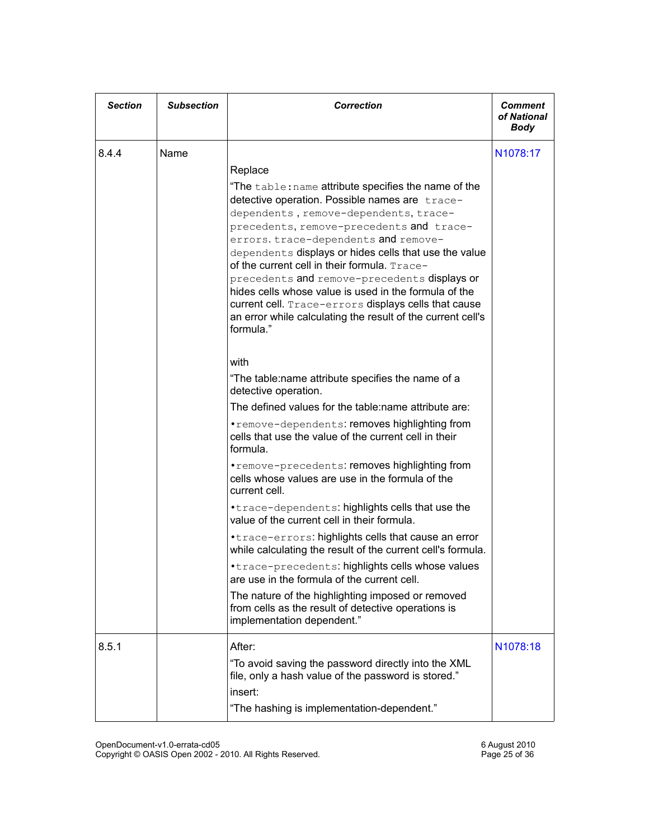| <b>Section</b> | <b>Subsection</b> | <b>Correction</b>                                                                                                                                                                                                                                                                                                                                                                                                                                                                                                                                                                                    | <b>Comment</b><br>of National<br><b>Body</b> |
|----------------|-------------------|------------------------------------------------------------------------------------------------------------------------------------------------------------------------------------------------------------------------------------------------------------------------------------------------------------------------------------------------------------------------------------------------------------------------------------------------------------------------------------------------------------------------------------------------------------------------------------------------------|----------------------------------------------|
| 8.4.4          | Name              | Replace<br>"The table: name attribute specifies the name of the<br>detective operation. Possible names are trace-<br>dependents, remove-dependents, trace-<br>precedents, remove-precedents and trace-<br>errors. trace-dependents and remove-<br>dependents displays or hides cells that use the value<br>of the current cell in their formula. Trace-<br>precedents and remove-precedents displays or<br>hides cells whose value is used in the formula of the<br>current cell. Trace-errors displays cells that cause<br>an error while calculating the result of the current cell's<br>formula." | N <sub>1078</sub> :17                        |
|                |                   | with<br>"The table:name attribute specifies the name of a<br>detective operation.<br>The defined values for the table: name attribute are:<br>.remove-dependents: removes highlighting from<br>cells that use the value of the current cell in their<br>formula.<br>. remove-precedents: removes highlighting from<br>cells whose values are use in the formula of the<br>current cell.                                                                                                                                                                                                              |                                              |
|                |                   | .trace-dependents: highlights cells that use the<br>value of the current cell in their formula.<br>• trace-errors: highlights cells that cause an error<br>while calculating the result of the current cell's formula.<br>*trace-precedents: highlights cells whose values<br>are use in the formula of the current cell.<br>The nature of the highlighting imposed or removed<br>from cells as the result of detective operations is<br>implementation dependent."                                                                                                                                  |                                              |
| 8.5.1          |                   | After:<br>"To avoid saving the password directly into the XML<br>file, only a hash value of the password is stored."<br>insert:<br>"The hashing is implementation-dependent."                                                                                                                                                                                                                                                                                                                                                                                                                        | N <sub>1078</sub> :18                        |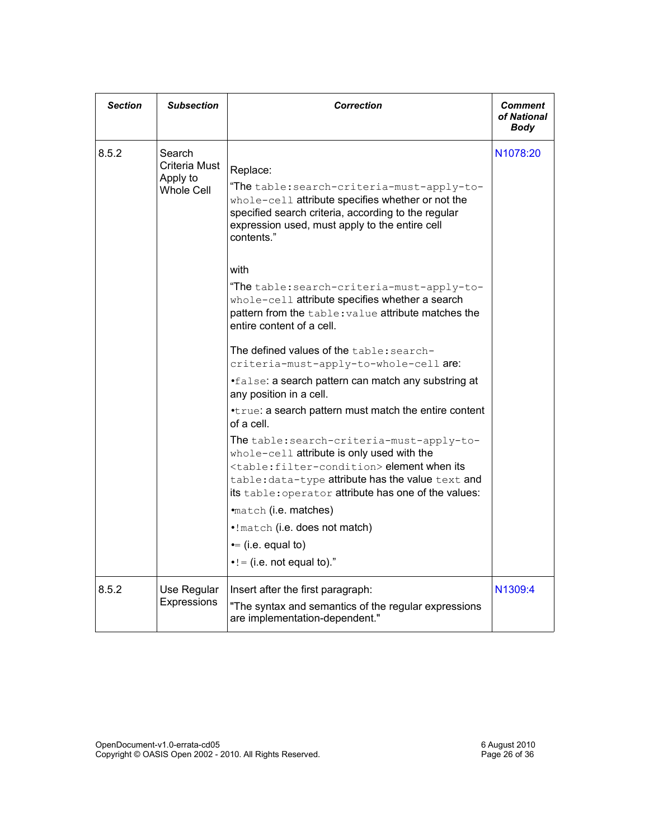| <b>Section</b> | <b>Subsection</b>                                 | <b>Correction</b>                                                                                                                                                                                                                                                                                                                                                                                                                                                                                                                                                                                                                                                                                                                                                                                                                                                                                                                                                                                                                                          | Comment<br>of National<br>Body |
|----------------|---------------------------------------------------|------------------------------------------------------------------------------------------------------------------------------------------------------------------------------------------------------------------------------------------------------------------------------------------------------------------------------------------------------------------------------------------------------------------------------------------------------------------------------------------------------------------------------------------------------------------------------------------------------------------------------------------------------------------------------------------------------------------------------------------------------------------------------------------------------------------------------------------------------------------------------------------------------------------------------------------------------------------------------------------------------------------------------------------------------------|--------------------------------|
| 8.5.2          | Search<br>Criteria Must<br>Apply to<br>Whole Cell | Replace:<br>"The table: search-criteria-must-apply-to-<br>whole-cell attribute specifies whether or not the<br>specified search criteria, according to the regular<br>expression used, must apply to the entire cell<br>contents."<br>with<br>"The table: search-criteria-must-apply-to-<br>whole-cell attribute specifies whether a search<br>pattern from the table: value attribute matches the<br>entire content of a cell.<br>The defined values of the table: search-<br>criteria-must-apply-to-whole-cell are:<br>.false: a search pattern can match any substring at<br>any position in a cell.<br>.true: a search pattern must match the entire content<br>of a cell.<br>The table: search-criteria-must-apply-to-<br>whole-cell attribute is only used with the<br><table: filter-condition=""> element when its<br/>table: data-type attribute has the value text and<br/>its table: operator attribute has one of the values:<br/>•match (i.e. matches)<br/>.! match (i.e. does not match)<br/><math>\bullet</math> = (i.e. equal to)</table:> | N <sub>1078</sub> :20          |
| 8.5.2          | Use Regular<br>Expressions                        | $\bullet$ ! = (i.e. not equal to)."<br>Insert after the first paragraph:<br>"The syntax and semantics of the regular expressions                                                                                                                                                                                                                                                                                                                                                                                                                                                                                                                                                                                                                                                                                                                                                                                                                                                                                                                           | N <sub>1309:4</sub>            |
|                |                                                   | are implementation-dependent."                                                                                                                                                                                                                                                                                                                                                                                                                                                                                                                                                                                                                                                                                                                                                                                                                                                                                                                                                                                                                             |                                |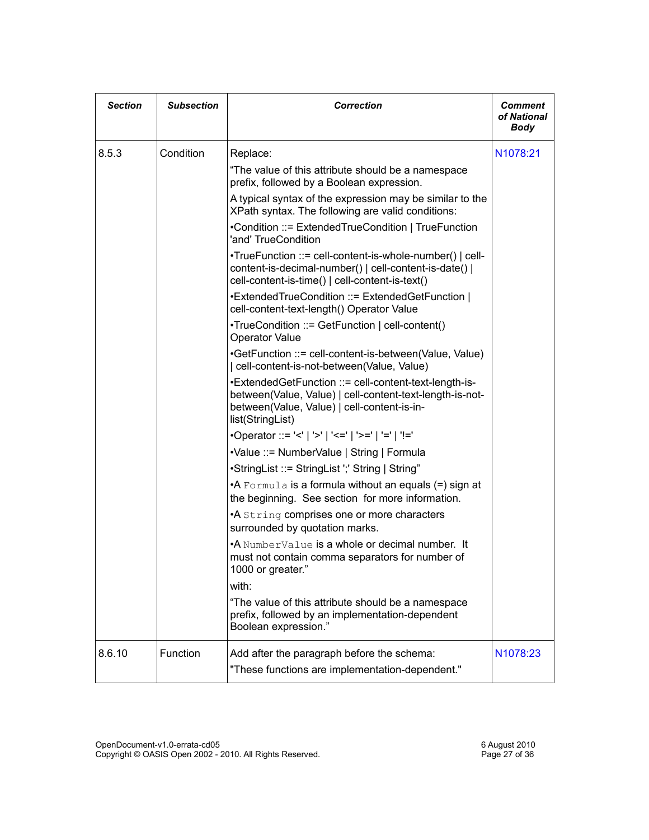| <b>Section</b> | <b>Subsection</b> | <b>Correction</b>                                                                                                                                                                    | Comment<br>of National<br>Body |
|----------------|-------------------|--------------------------------------------------------------------------------------------------------------------------------------------------------------------------------------|--------------------------------|
| 8.5.3          | Condition         | Replace:                                                                                                                                                                             | N1078:21                       |
|                |                   | "The value of this attribute should be a namespace<br>prefix, followed by a Boolean expression.                                                                                      |                                |
|                |                   | A typical syntax of the expression may be similar to the<br>XPath syntax. The following are valid conditions:                                                                        |                                |
|                |                   | •Condition ::= ExtendedTrueCondition   TrueFunction<br>'and' TrueCondition                                                                                                           |                                |
|                |                   | •TrueFunction ::= cell-content-is-whole-number()   cell-<br>content-is-decimal-number()   cell-content-is-date()  <br>cell-content-is-time()   cell-content-is-text()                |                                |
|                |                   | •ExtendedTrueCondition ::= ExtendedGetFunction  <br>cell-content-text-length() Operator Value                                                                                        |                                |
|                |                   | •TrueCondition ::= GetFunction   cell-content()<br><b>Operator Value</b>                                                                                                             |                                |
|                |                   | •GetFunction ::= cell-content-is-between(Value, Value)<br>  cell-content-is-not-between(Value, Value)                                                                                |                                |
|                |                   | •ExtendedGetFunction ::= cell-content-text-length-is-<br>between(Value, Value)   cell-content-text-length-is-not-<br>between(Value, Value)   cell-content-is-in-<br>list(StringList) |                                |
|                |                   | •Operator ::= '<'   '>'   '<='   '>='   '='   '!='                                                                                                                                   |                                |
|                |                   | •Value ::= NumberValue   String   Formula                                                                                                                                            |                                |
|                |                   | •StringList ::= StringList ';' String   String"                                                                                                                                      |                                |
|                |                   | •A Formula is a formula without an equals (=) sign at<br>the beginning. See section for more information.                                                                            |                                |
|                |                   | •A String comprises one or more characters<br>surrounded by quotation marks.                                                                                                         |                                |
|                |                   | •A NumberValue is a whole or decimal number. It<br>must not contain comma separators for number of<br>1000 or greater."                                                              |                                |
|                |                   | with:                                                                                                                                                                                |                                |
|                |                   | "The value of this attribute should be a namespace<br>prefix, followed by an implementation-dependent<br>Boolean expression."                                                        |                                |
| 8.6.10         | Function          | Add after the paragraph before the schema:<br>"These functions are implementation-dependent."                                                                                        | N1078:23                       |
|                |                   |                                                                                                                                                                                      |                                |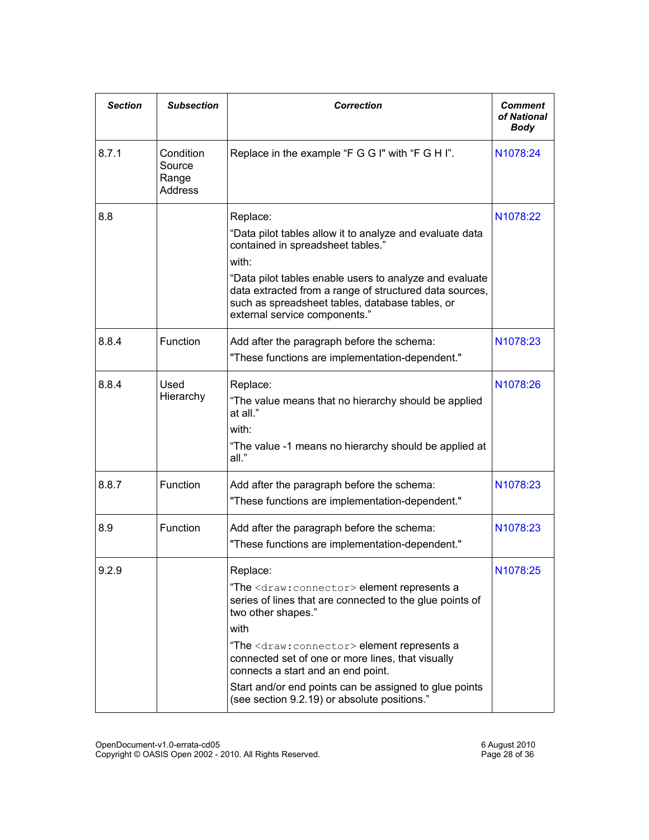| <b>Section</b> | <b>Subsection</b>                       | <b>Correction</b>                                                                                                                                                                                                                                                                                                                                                                                                                   | Comment<br>of National<br><b>Body</b> |
|----------------|-----------------------------------------|-------------------------------------------------------------------------------------------------------------------------------------------------------------------------------------------------------------------------------------------------------------------------------------------------------------------------------------------------------------------------------------------------------------------------------------|---------------------------------------|
| 8.7.1          | Condition<br>Source<br>Range<br>Address | Replace in the example "F G G I" with "F G H I".                                                                                                                                                                                                                                                                                                                                                                                    | N1078:24                              |
| 8.8            |                                         | Replace:<br>"Data pilot tables allow it to analyze and evaluate data<br>contained in spreadsheet tables."<br>with:<br>"Data pilot tables enable users to analyze and evaluate<br>data extracted from a range of structured data sources,<br>such as spreadsheet tables, database tables, or<br>external service components."                                                                                                        | N1078:22                              |
| 8.8.4          | Function                                | Add after the paragraph before the schema:<br>"These functions are implementation-dependent."                                                                                                                                                                                                                                                                                                                                       | N1078:23                              |
| 8.8.4          | Used<br>Hierarchy                       | Replace:<br>"The value means that no hierarchy should be applied<br>at all."<br>with:<br>"The value -1 means no hierarchy should be applied at<br>all."                                                                                                                                                                                                                                                                             | N1078:26                              |
| 8.8.7          | Function                                | Add after the paragraph before the schema:<br>"These functions are implementation-dependent."                                                                                                                                                                                                                                                                                                                                       | N1078:23                              |
| 8.9            | Function                                | Add after the paragraph before the schema:<br>"These functions are implementation-dependent."                                                                                                                                                                                                                                                                                                                                       | N1078:23                              |
| 9.2.9          |                                         | Replace:<br>"The <draw: connector=""> element represents a<br/>series of lines that are connected to the glue points of<br/>two other shapes."<br/>with<br/>"The <draw: connector=""> element represents a<br/>connected set of one or more lines, that visually<br/>connects a start and an end point.<br/>Start and/or end points can be assigned to glue points<br/>(see section 9.2.19) or absolute positions."</draw:></draw:> | N <sub>1078</sub> :25                 |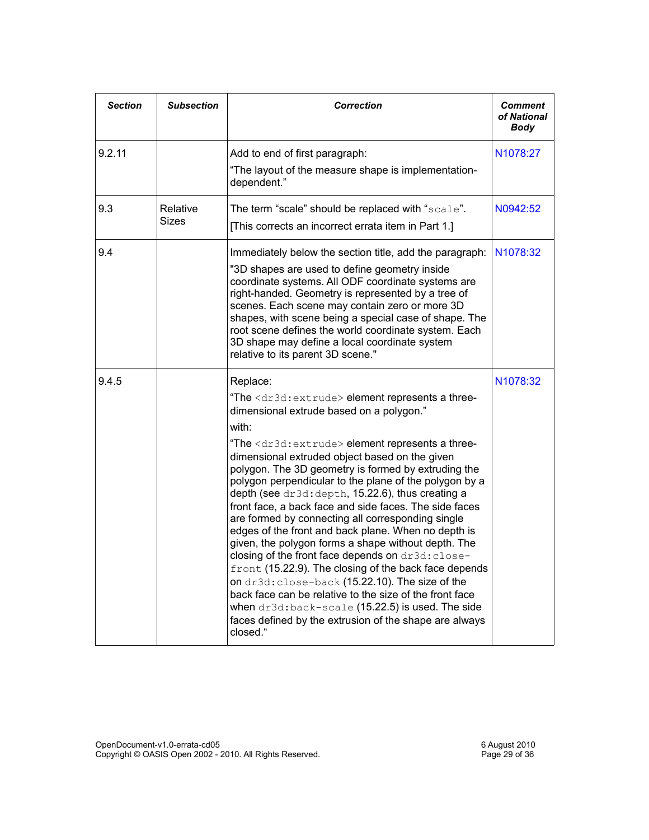| <b>Section</b> | <b>Subsection</b> | <b>Correction</b>                                                                                                                                                                                                                                                                                                                                                                                                                                                                                                                                                                                                                                                                                                                                                                                                                                                                                                                                                                                                           | <b>Comment</b><br>of National<br>Body |
|----------------|-------------------|-----------------------------------------------------------------------------------------------------------------------------------------------------------------------------------------------------------------------------------------------------------------------------------------------------------------------------------------------------------------------------------------------------------------------------------------------------------------------------------------------------------------------------------------------------------------------------------------------------------------------------------------------------------------------------------------------------------------------------------------------------------------------------------------------------------------------------------------------------------------------------------------------------------------------------------------------------------------------------------------------------------------------------|---------------------------------------|
| 9.2.11         |                   | Add to end of first paragraph:<br>"The layout of the measure shape is implementation-<br>dependent."                                                                                                                                                                                                                                                                                                                                                                                                                                                                                                                                                                                                                                                                                                                                                                                                                                                                                                                        | N1078:27                              |
| 9.3            | Relative<br>Sizes | The term "scale" should be replaced with "scale".<br>[This corrects an incorrect errata item in Part 1.]                                                                                                                                                                                                                                                                                                                                                                                                                                                                                                                                                                                                                                                                                                                                                                                                                                                                                                                    | N0942:52                              |
| 9.4            |                   | Immediately below the section title, add the paragraph:<br>"3D shapes are used to define geometry inside<br>coordinate systems. All ODF coordinate systems are<br>right-handed. Geometry is represented by a tree of<br>scenes. Each scene may contain zero or more 3D<br>shapes, with scene being a special case of shape. The<br>root scene defines the world coordinate system. Each<br>3D shape may define a local coordinate system<br>relative to its parent 3D scene."                                                                                                                                                                                                                                                                                                                                                                                                                                                                                                                                               | N1078:32                              |
| 9.4.5          |                   | Replace:<br>"The <dr3d: extrude=""> element represents a three-<br/>dimensional extrude based on a polygon."<br/>with:<br/>"The <dr3d:extrude> element represents a three-<br/>dimensional extruded object based on the given<br/>polygon. The 3D geometry is formed by extruding the<br/>polygon perpendicular to the plane of the polygon by a<br/>depth (see dr3d: depth, 15.22.6), thus creating a<br/>front face, a back face and side faces. The side faces<br/>are formed by connecting all corresponding single<br/>edges of the front and back plane. When no depth is<br/>given, the polygon forms a shape without depth. The<br/>closing of the front face depends on dr3d: close-<br/>front (15.22.9). The closing of the back face depends<br/>on dr3d: close-back (15.22.10). The size of the<br/>back face can be relative to the size of the front face<br/>when dr3d:back-scale (15.22.5) is used. The side<br/>faces defined by the extrusion of the shape are always<br/>closed."</dr3d:extrude></dr3d:> | N1078:32                              |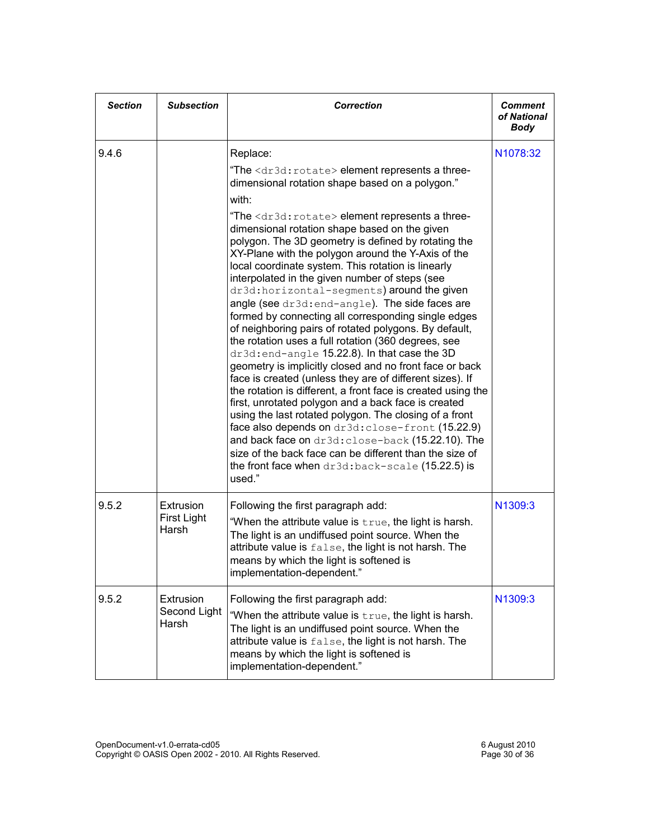| <b>Section</b> | <b>Subsection</b>                  | <b>Correction</b>                                                                                                                                                                                                                                                                                                                                                                                                                                                                                                                                                                                                                                                                                                                                                                                                                                                                                                                                                                                                                                                                                                                                                                                                                                                                                                                                                                | <b>Comment</b><br>of National<br><b>Body</b> |
|----------------|------------------------------------|----------------------------------------------------------------------------------------------------------------------------------------------------------------------------------------------------------------------------------------------------------------------------------------------------------------------------------------------------------------------------------------------------------------------------------------------------------------------------------------------------------------------------------------------------------------------------------------------------------------------------------------------------------------------------------------------------------------------------------------------------------------------------------------------------------------------------------------------------------------------------------------------------------------------------------------------------------------------------------------------------------------------------------------------------------------------------------------------------------------------------------------------------------------------------------------------------------------------------------------------------------------------------------------------------------------------------------------------------------------------------------|----------------------------------------------|
| 9.4.6          |                                    | Replace:<br>"The <dr3d: rotate=""> element represents a three-<br/>dimensional rotation shape based on a polygon."<br/>with:<br/>"The <dr3d: rotate=""> element represents a three-<br/>dimensional rotation shape based on the given<br/>polygon. The 3D geometry is defined by rotating the<br/>XY-Plane with the polygon around the Y-Axis of the<br/>local coordinate system. This rotation is linearly<br/>interpolated in the given number of steps (see<br/>dr3d: horizontal-segments) around the given<br/>angle (see dr3d: end-angle). The side faces are<br/>formed by connecting all corresponding single edges<br/>of neighboring pairs of rotated polygons. By default,<br/>the rotation uses a full rotation (360 degrees, see<br/>dr3d: end-angle 15.22.8). In that case the 3D<br/>geometry is implicitly closed and no front face or back<br/>face is created (unless they are of different sizes). If<br/>the rotation is different, a front face is created using the<br/>first, unrotated polygon and a back face is created<br/>using the last rotated polygon. The closing of a front<br/>face also depends on dr3d: close-front (15.22.9)<br/>and back face on dr3d: close-back (15.22.10). The<br/>size of the back face can be different than the size of<br/>the front face when <math>dr3d</math>: back-scale (15.22.5) is<br/>used."</dr3d:></dr3d:> | N <sub>1078</sub> :32                        |
| 9.5.2          | Extrusion<br>First Light<br>Harsh  | Following the first paragraph add:<br>"When the attribute value is true, the light is harsh.<br>The light is an undiffused point source. When the<br>attribute value is false, the light is not harsh. The<br>means by which the light is softened is<br>implementation-dependent."                                                                                                                                                                                                                                                                                                                                                                                                                                                                                                                                                                                                                                                                                                                                                                                                                                                                                                                                                                                                                                                                                              | N1309:3                                      |
| 9.5.2          | Extrusion<br>Second Light<br>Harsh | Following the first paragraph add:<br>"When the attribute value is true, the light is harsh.<br>The light is an undiffused point source. When the<br>attribute value is false, the light is not harsh. The<br>means by which the light is softened is<br>implementation-dependent."                                                                                                                                                                                                                                                                                                                                                                                                                                                                                                                                                                                                                                                                                                                                                                                                                                                                                                                                                                                                                                                                                              | N1309:3                                      |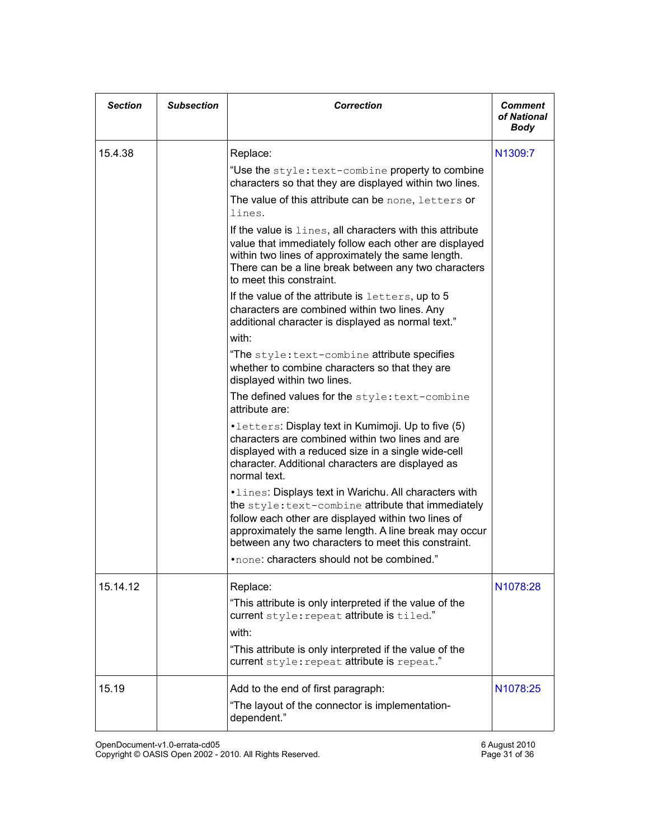| <b>Section</b> | <b>Subsection</b> | <b>Correction</b>                                                                                                                                                                                                                                                                                                                                                                                                                                                                                                                                                                                                                                                                                                                                                                                                                                                                                                                                                                                                                                                                                                                                                                                                                                                                                                                                                                                               | Comment<br>of National<br><b>Body</b> |
|----------------|-------------------|-----------------------------------------------------------------------------------------------------------------------------------------------------------------------------------------------------------------------------------------------------------------------------------------------------------------------------------------------------------------------------------------------------------------------------------------------------------------------------------------------------------------------------------------------------------------------------------------------------------------------------------------------------------------------------------------------------------------------------------------------------------------------------------------------------------------------------------------------------------------------------------------------------------------------------------------------------------------------------------------------------------------------------------------------------------------------------------------------------------------------------------------------------------------------------------------------------------------------------------------------------------------------------------------------------------------------------------------------------------------------------------------------------------------|---------------------------------------|
| 15.4.38        |                   | Replace:<br>"Use the style: text-combine property to combine<br>characters so that they are displayed within two lines.<br>The value of this attribute can be none, letters or<br>lines.<br>If the value is lines, all characters with this attribute<br>value that immediately follow each other are displayed<br>within two lines of approximately the same length.<br>There can be a line break between any two characters<br>to meet this constraint.<br>If the value of the attribute is letters, up to 5<br>characters are combined within two lines. Any<br>additional character is displayed as normal text."<br>with:<br>"The style: text-combine attribute specifies<br>whether to combine characters so that they are<br>displayed within two lines.<br>The defined values for the style: text-combine<br>attribute are:<br>• letters: Display text in Kumimoji. Up to five (5)<br>characters are combined within two lines and are<br>displayed with a reduced size in a single wide-cell<br>character. Additional characters are displayed as<br>normal text.<br>. Lines: Displays text in Warichu. All characters with<br>the style: text-combine attribute that immediately<br>follow each other are displayed within two lines of<br>approximately the same length. A line break may occur<br>between any two characters to meet this constraint.<br>*none: characters should not be combined." | N <sub>1309:7</sub>                   |
| 15.14.12       |                   | Replace:<br>"This attribute is only interpreted if the value of the<br>current style: repeat attribute is tiled."<br>with:<br>"This attribute is only interpreted if the value of the<br>current style: repeat attribute is repeat."                                                                                                                                                                                                                                                                                                                                                                                                                                                                                                                                                                                                                                                                                                                                                                                                                                                                                                                                                                                                                                                                                                                                                                            | N <sub>1078</sub> :28                 |
| 15.19          |                   | Add to the end of first paragraph:<br>"The layout of the connector is implementation-<br>dependent."                                                                                                                                                                                                                                                                                                                                                                                                                                                                                                                                                                                                                                                                                                                                                                                                                                                                                                                                                                                                                                                                                                                                                                                                                                                                                                            | N1078:25                              |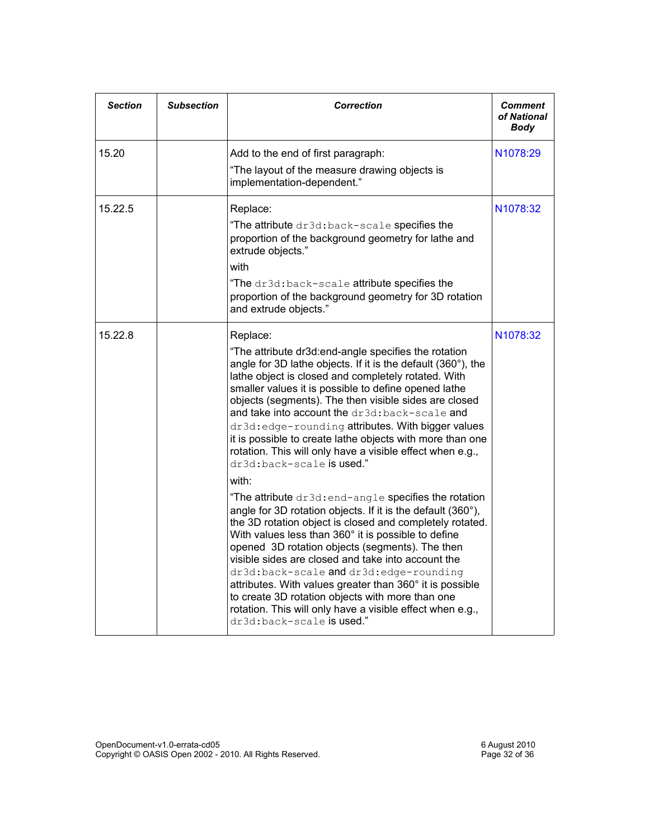| <b>Section</b> | <b>Subsection</b> | <b>Correction</b>                                                                                                                                                                                                                                                                                                                                                                                                                                                                                                                                                                                    | <b>Comment</b><br>of National<br>Body |
|----------------|-------------------|------------------------------------------------------------------------------------------------------------------------------------------------------------------------------------------------------------------------------------------------------------------------------------------------------------------------------------------------------------------------------------------------------------------------------------------------------------------------------------------------------------------------------------------------------------------------------------------------------|---------------------------------------|
| 15.20          |                   | Add to the end of first paragraph:<br>"The layout of the measure drawing objects is                                                                                                                                                                                                                                                                                                                                                                                                                                                                                                                  | N <sub>1078</sub> :29                 |
|                |                   | implementation-dependent."                                                                                                                                                                                                                                                                                                                                                                                                                                                                                                                                                                           |                                       |
| 15.22.5        |                   | Replace:                                                                                                                                                                                                                                                                                                                                                                                                                                                                                                                                                                                             | N1078:32                              |
|                |                   | "The attribute dr3d: back-scale specifies the<br>proportion of the background geometry for lathe and<br>extrude objects."                                                                                                                                                                                                                                                                                                                                                                                                                                                                            |                                       |
|                |                   | with                                                                                                                                                                                                                                                                                                                                                                                                                                                                                                                                                                                                 |                                       |
|                |                   | "The dr3d:back-scale attribute specifies the<br>proportion of the background geometry for 3D rotation<br>and extrude objects."                                                                                                                                                                                                                                                                                                                                                                                                                                                                       |                                       |
| 15.22.8        |                   | Replace:                                                                                                                                                                                                                                                                                                                                                                                                                                                                                                                                                                                             | N1078:32                              |
|                |                   | "The attribute dr3d:end-angle specifies the rotation<br>angle for 3D lathe objects. If it is the default (360°), the<br>lathe object is closed and completely rotated. With<br>smaller values it is possible to define opened lathe<br>objects (segments). The then visible sides are closed<br>and take into account the dr3d:back-scale and<br>dr3d: edge-rounding attributes. With bigger values<br>it is possible to create lathe objects with more than one<br>rotation. This will only have a visible effect when e.g.,<br>dr3d:back-scale <b>is used.</b> "                                   |                                       |
|                |                   | with:                                                                                                                                                                                                                                                                                                                                                                                                                                                                                                                                                                                                |                                       |
|                |                   | "The attribute dr3d: end-angle specifies the rotation<br>angle for 3D rotation objects. If it is the default (360°),<br>the 3D rotation object is closed and completely rotated.<br>With values less than 360° it is possible to define<br>opened 3D rotation objects (segments). The then<br>visible sides are closed and take into account the<br>dr3d:back-scale and dr3d:edge-rounding<br>attributes. With values greater than 360° it is possible<br>to create 3D rotation objects with more than one<br>rotation. This will only have a visible effect when e.g.,<br>dr3d:back-scale is used." |                                       |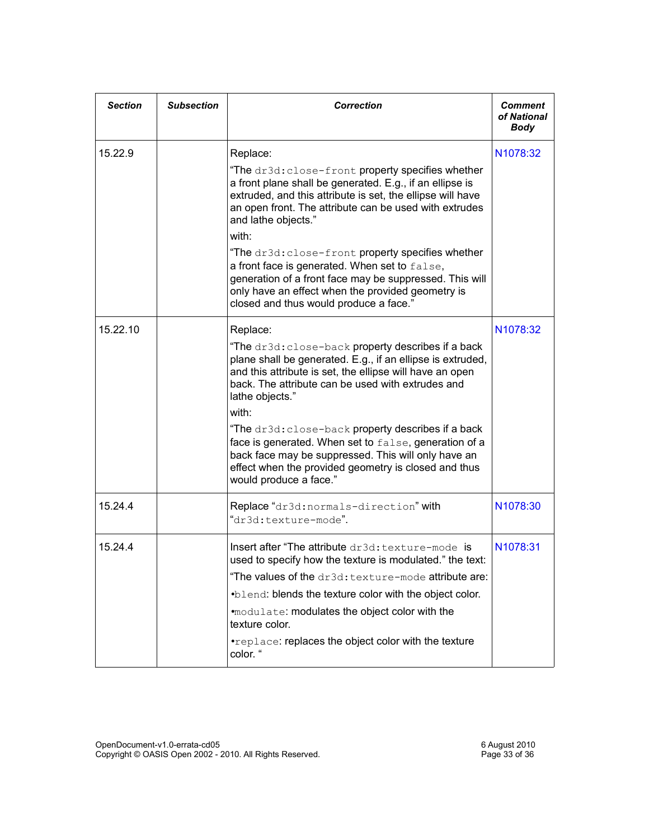| <b>Section</b> | <b>Subsection</b> | <b>Correction</b>                                                                                                                                                                                                                                                                                                                                                                                                                                                                                                                                 | Comment<br>of National<br><b>Body</b> |
|----------------|-------------------|---------------------------------------------------------------------------------------------------------------------------------------------------------------------------------------------------------------------------------------------------------------------------------------------------------------------------------------------------------------------------------------------------------------------------------------------------------------------------------------------------------------------------------------------------|---------------------------------------|
| 15.22.9        |                   | Replace:<br>"The dr3d: close-front property specifies whether<br>a front plane shall be generated. E.g., if an ellipse is<br>extruded, and this attribute is set, the ellipse will have<br>an open front. The attribute can be used with extrudes<br>and lathe objects."<br>with:<br>"The dr3d: close-front property specifies whether<br>a front face is generated. When set to false,<br>generation of a front face may be suppressed. This will<br>only have an effect when the provided geometry is<br>closed and thus would produce a face." | N1078:32                              |
| 15.22.10       |                   | Replace:<br>"The dr3d: close-back property describes if a back<br>plane shall be generated. E.g., if an ellipse is extruded,<br>and this attribute is set, the ellipse will have an open<br>back. The attribute can be used with extrudes and<br>lathe objects."<br>with:<br>"The dr3d: close-back property describes if a back<br>face is generated. When set to false, generation of a<br>back face may be suppressed. This will only have an<br>effect when the provided geometry is closed and thus<br>would produce a face."                 | N1078:32                              |
| 15.24.4        |                   | Replace "dr3d: normals-direction" with<br>"dr3d:texture-mode".                                                                                                                                                                                                                                                                                                                                                                                                                                                                                    | N1078:30                              |
| 15.24.4        |                   | Insert after "The attribute dr3d: texture-mode is<br>used to specify how the texture is modulated." the text:<br>"The values of the dr3d: texture-mode attribute are:<br>.blend: blends the texture color with the object color.<br>.modulate: modulates the object color with the<br>texture color.<br>. replace: replaces the object color with the texture<br>color. "                                                                                                                                                                         | N1078:31                              |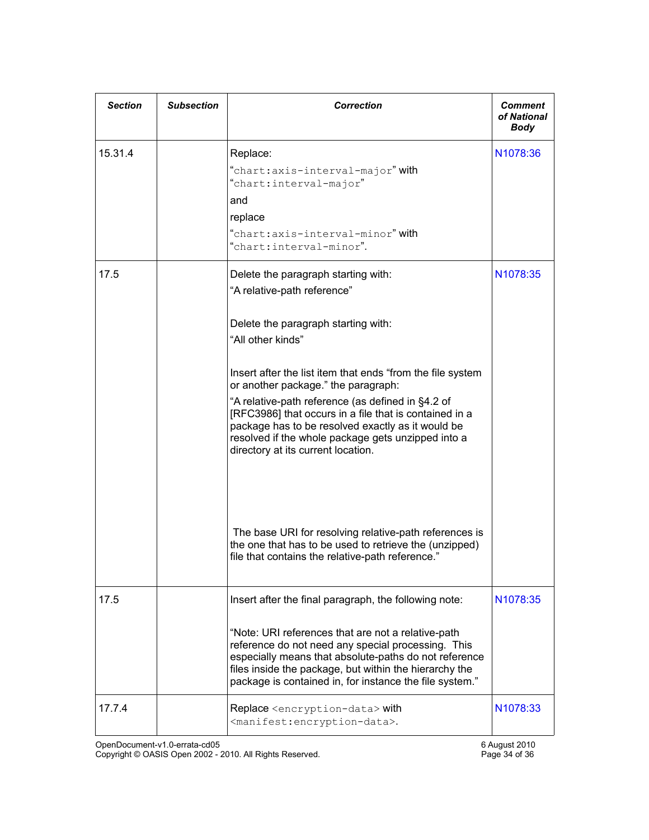| <b>Section</b> | <b>Subsection</b> | <b>Correction</b>                                                                                                                                                                                                                                                                                                                                                                                                                                                                                                                                                                                                                                                           | Comment<br>of National<br><b>Body</b> |
|----------------|-------------------|-----------------------------------------------------------------------------------------------------------------------------------------------------------------------------------------------------------------------------------------------------------------------------------------------------------------------------------------------------------------------------------------------------------------------------------------------------------------------------------------------------------------------------------------------------------------------------------------------------------------------------------------------------------------------------|---------------------------------------|
| 15.31.4        |                   | Replace:<br>"chart: axis-interval-major" with<br>"chart:interval-major"<br>and<br>replace<br>"chart:axis-interval-minor" with<br>"chart:interval-minor".                                                                                                                                                                                                                                                                                                                                                                                                                                                                                                                    | N <sub>1078</sub> :36                 |
| 17.5           |                   | Delete the paragraph starting with:<br>"A relative-path reference"<br>Delete the paragraph starting with:<br>"All other kinds"<br>Insert after the list item that ends "from the file system<br>or another package." the paragraph:<br>"A relative-path reference (as defined in §4.2 of<br>[RFC3986] that occurs in a file that is contained in a<br>package has to be resolved exactly as it would be<br>resolved if the whole package gets unzipped into a<br>directory at its current location.<br>The base URI for resolving relative-path references is<br>the one that has to be used to retrieve the (unzipped)<br>file that contains the relative-path reference." | N <sub>1078</sub> :35                 |
| 17.5           |                   | Insert after the final paragraph, the following note:<br>"Note: URI references that are not a relative-path<br>reference do not need any special processing. This<br>especially means that absolute-paths do not reference<br>files inside the package, but within the hierarchy the<br>package is contained in, for instance the file system."                                                                                                                                                                                                                                                                                                                             | N1078:35                              |
| 17.7.4         |                   | Replace <encryption-data> with<br/><manifest:encryption-data>.</manifest:encryption-data></encryption-data>                                                                                                                                                                                                                                                                                                                                                                                                                                                                                                                                                                 | N <sub>1078</sub> :33                 |

OpenDocument-v1.0-errata-cd05 6 August 2010 Copyright © OASIS Open 2002 - 2010. All Rights Reserved. Page 34 of 36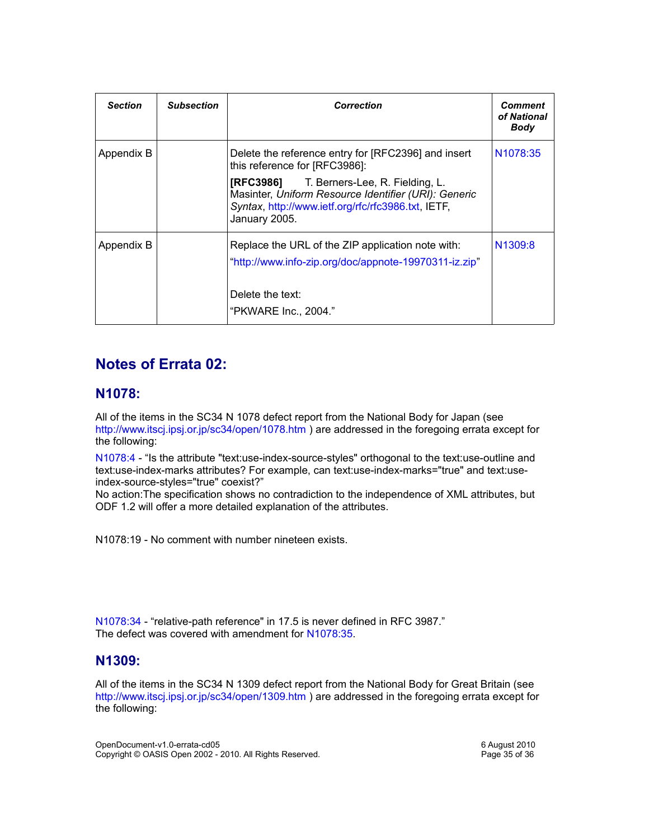| <b>Section</b> | <b>Subsection</b> | <b>Correction</b>                                                                                                                                                               | <b>Comment</b><br>of National<br>Body |
|----------------|-------------------|---------------------------------------------------------------------------------------------------------------------------------------------------------------------------------|---------------------------------------|
| Appendix B     |                   | Delete the reference entry for [RFC2396] and insert<br>this reference for [RFC3986]:                                                                                            | N <sub>1078</sub> :35                 |
|                |                   | <b>[RFC3986]</b> T. Berners-Lee, R. Fielding, L.<br>Masinter, Uniform Resource Identifier (URI): Generic<br>Syntax, http://www.ietf.org/rfc/rfc3986.txt, IETF,<br>January 2005. |                                       |
| Appendix B     |                   | Replace the URL of the ZIP application note with:<br>"http://www.info-zip.org/doc/appnote-19970311-iz.zip"                                                                      | N <sub>1309:8</sub>                   |
|                |                   | Delete the text:<br>"PKWARE Inc., 2004."                                                                                                                                        |                                       |

#### **Notes of Errata 02:**

#### **N1078:**

All of the items in the SC34 N 1078 defect report from the National Body for Japan (see <http://www.itscj.ipsj.or.jp/sc34/open/1078.htm> ) are addressed in the foregoing errata except for the following:

[N1078:4](http://tools.oasis-open.org/issues/browse/OFFICE-1796) - "Is the attribute "text:use-index-source-styles" orthogonal to the text:use-outline and text:use-index-marks attributes? For example, can text:use-index-marks="true" and text:useindex-source-styles="true" coexist?"

No action:The specification shows no contradiction to the independence of XML attributes, but ODF 1.2 will offer a more detailed explanation of the attributes.

N1078:19 - No comment with number nineteen exists.

[N1078:34](http://tools.oasis-open.org/issues/browse/OFFICE-1825) - "relative-path reference" in 17.5 is never defined in RFC 3987." The defect was covered with amendment for [N1078:35.](http://tools.oasis-open.org/issues/browse/OFFICE-1826)

#### **N1309:**

All of the items in the SC34 N 1309 defect report from the National Body for Great Britain (see <http://www.itscj.ipsj.or.jp/sc34/open/1309.htm> ) are addressed in the foregoing errata except for the following:

OpenDocument-v1.0-errata-cd05 6 August 2010 Copyright © OASIS Open 2002 - 2010. All Rights Reserved.